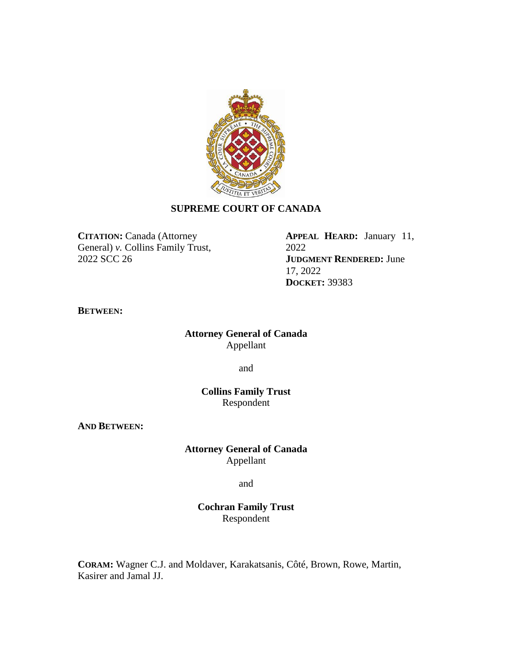

# **SUPREME COURT OF CANADA**

**CITATION:** Canada (Attorney General) *v.* Collins Family Trust, 2022 SCC 26

**APPEAL HEARD:** January 11, 2022 **JUDGMENT RENDERED:** June 17, 2022 **DOCKET:** 39383

### **BETWEEN:**

## **Attorney General of Canada** Appellant

and

## **Collins Family Trust** Respondent

**AND BETWEEN:**

**Attorney General of Canada** Appellant

and

**Cochran Family Trust** Respondent

**CORAM:** Wagner C.J. and Moldaver, Karakatsanis, Côté, Brown, Rowe, Martin, Kasirer and Jamal JJ.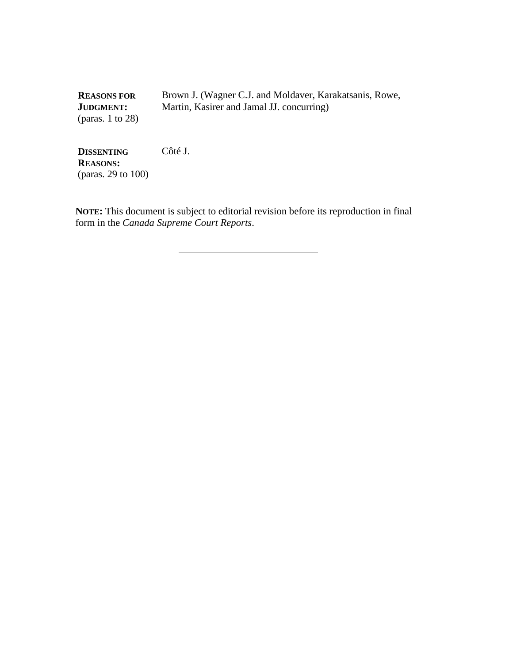**REASONS FOR JUDGMENT:** (paras. 1 to 28) Brown J. (Wagner C.J. and Moldaver, Karakatsanis, Rowe, Martin, Kasirer and Jamal JJ. concurring)

**DISSENTING REASONS:** (paras. 29 to 100) Côté J.

**NOTE:** This document is subject to editorial revision before its reproduction in final form in the *Canada Supreme Court Reports*.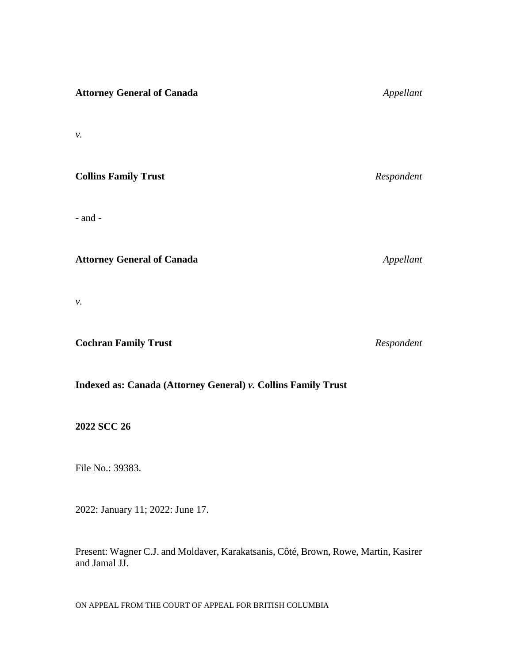| <b>Attorney General of Canada</b> | Appellant  |
|-----------------------------------|------------|
| ν.                                |            |
| <b>Collins Family Trust</b>       | Respondent |
| $-$ and $-$                       |            |
| <b>Attorney General of Canada</b> | Appellant  |

*v.*

**Cochran Family Trust** *Respondent*

# **Indexed as: Canada (Attorney General)** *v.* **Collins Family Trust**

**2022 SCC 26**

File No.: 39383.

2022: January 11; 2022: June 17.

Present: Wagner C.J. and Moldaver, Karakatsanis, Côté, Brown, Rowe, Martin, Kasirer and Jamal JJ.

ON APPEAL FROM THE COURT OF APPEAL FOR BRITISH COLUMBIA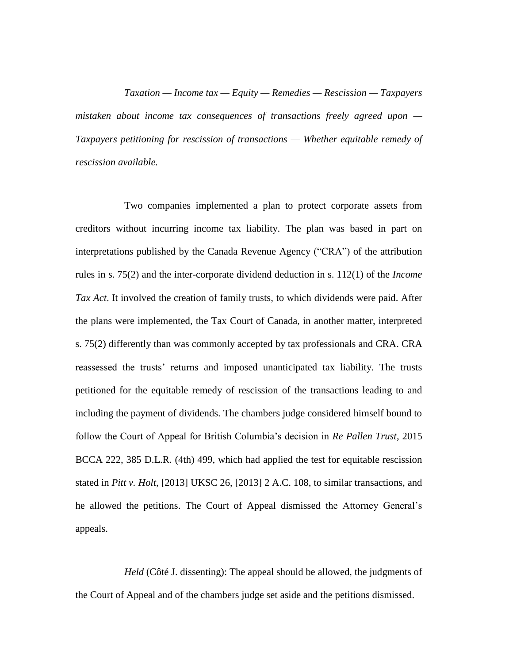*Taxation — Income tax — Equity — Remedies — Rescission — Taxpayers mistaken about income tax consequences of transactions freely agreed upon — Taxpayers petitioning for rescission of transactions — Whether equitable remedy of rescission available.*

Two companies implemented a plan to protect corporate assets from creditors without incurring income tax liability. The plan was based in part on interpretations published by the Canada Revenue Agency ("CRA") of the attribution rules in s. 75(2) and the inter-corporate dividend deduction in s. 112(1) of the *Income Tax Act*. It involved the creation of family trusts, to which dividends were paid. After the plans were implemented, the Tax Court of Canada, in another matter, interpreted s. 75(2) differently than was commonly accepted by tax professionals and CRA. CRA reassessed the trusts' returns and imposed unanticipated tax liability. The trusts petitioned for the equitable remedy of rescission of the transactions leading to and including the payment of dividends. The chambers judge considered himself bound to follow the Court of Appeal for British Columbia's decision in *Re Pallen Trust*, 2015 BCCA 222, 385 D.L.R. (4th) 499, which had applied the test for equitable rescission stated in *Pitt v. Holt*, [2013] UKSC 26, [2013] 2 A.C. 108, to similar transactions, and he allowed the petitions. The Court of Appeal dismissed the Attorney General's appeals.

*Held* (Côté J. dissenting): The appeal should be allowed, the judgments of the Court of Appeal and of the chambers judge set aside and the petitions dismissed.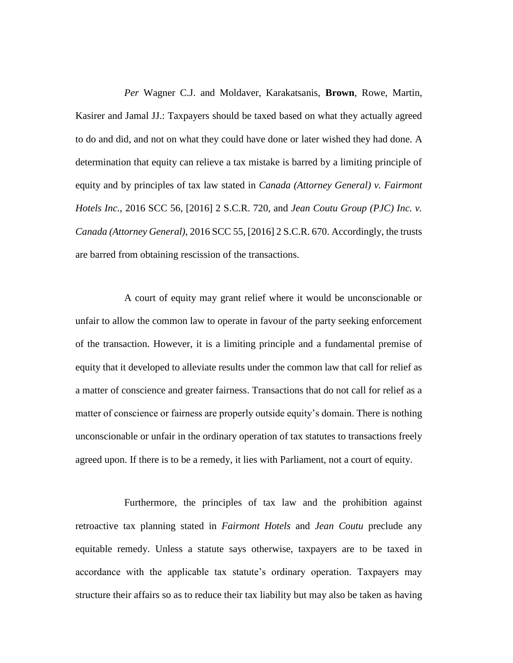*Per* Wagner C.J. and Moldaver, Karakatsanis, **Brown**, Rowe, Martin, Kasirer and Jamal JJ.: Taxpayers should be taxed based on what they actually agreed to do and did, and not on what they could have done or later wished they had done. A determination that equity can relieve a tax mistake is barred by a limiting principle of equity and by principles of tax law stated in *Canada (Attorney General) v. Fairmont Hotels Inc.*, 2016 SCC 56, [2016] 2 S.C.R. 720, and *Jean Coutu Group (PJC) Inc. v. Canada (Attorney General)*, 2016 SCC 55, [2016] 2 S.C.R. 670. Accordingly, the trusts are barred from obtaining rescission of the transactions.

A court of equity may grant relief where it would be unconscionable or unfair to allow the common law to operate in favour of the party seeking enforcement of the transaction. However, it is a limiting principle and a fundamental premise of equity that it developed to alleviate results under the common law that call for relief as a matter of conscience and greater fairness. Transactions that do not call for relief as a matter of conscience or fairness are properly outside equity's domain. There is nothing unconscionable or unfair in the ordinary operation of tax statutes to transactions freely agreed upon. If there is to be a remedy, it lies with Parliament, not a court of equity.

Furthermore, the principles of tax law and the prohibition against retroactive tax planning stated in *Fairmont Hotels* and *Jean Coutu* preclude any equitable remedy. Unless a statute says otherwise, taxpayers are to be taxed in accordance with the applicable tax statute's ordinary operation. Taxpayers may structure their affairs so as to reduce their tax liability but may also be taken as having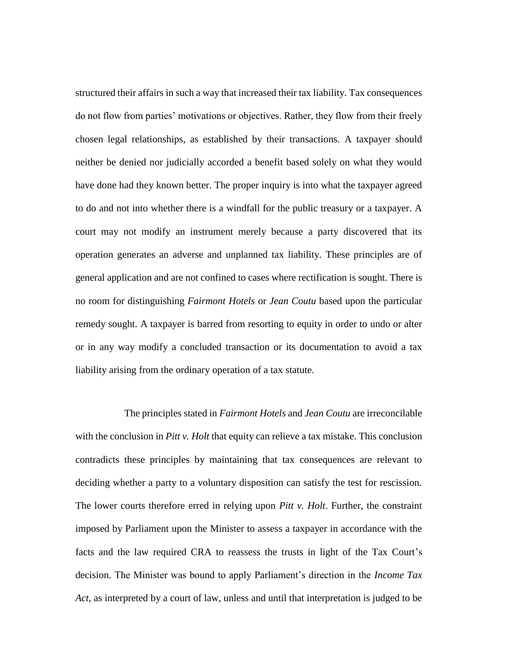structured their affairs in such a way that increased their tax liability. Tax consequences do not flow from parties' motivations or objectives. Rather, they flow from their freely chosen legal relationships, as established by their transactions. A taxpayer should neither be denied nor judicially accorded a benefit based solely on what they would have done had they known better. The proper inquiry is into what the taxpayer agreed to do and not into whether there is a windfall for the public treasury or a taxpayer. A court may not modify an instrument merely because a party discovered that its operation generates an adverse and unplanned tax liability. These principles are of general application and are not confined to cases where rectification is sought. There is no room for distinguishing *Fairmont Hotels* or *Jean Coutu* based upon the particular remedy sought. A taxpayer is barred from resorting to equity in order to undo or alter or in any way modify a concluded transaction or its documentation to avoid a tax liability arising from the ordinary operation of a tax statute.

The principles stated in *Fairmont Hotels* and *Jean Coutu* are irreconcilable with the conclusion in *Pitt v. Holt* that equity can relieve a tax mistake. This conclusion contradicts these principles by maintaining that tax consequences are relevant to deciding whether a party to a voluntary disposition can satisfy the test for rescission. The lower courts therefore erred in relying upon *Pitt v. Holt*. Further, the constraint imposed by Parliament upon the Minister to assess a taxpayer in accordance with the facts and the law required CRA to reassess the trusts in light of the Tax Court's decision. The Minister was bound to apply Parliament's direction in the *Income Tax Act*, as interpreted by a court of law, unless and until that interpretation is judged to be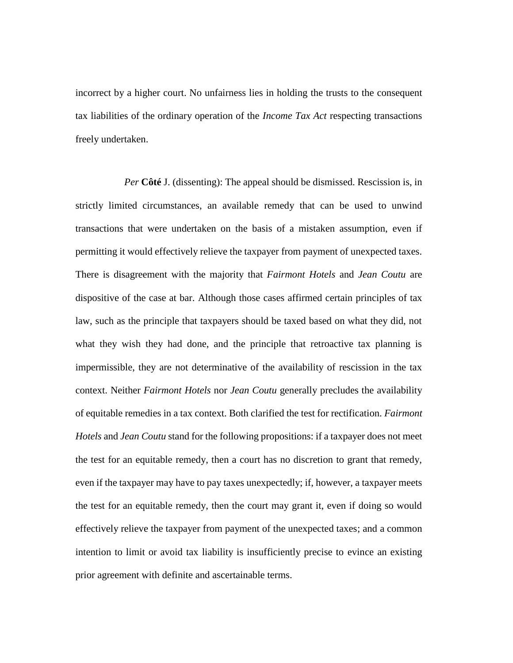incorrect by a higher court. No unfairness lies in holding the trusts to the consequent tax liabilities of the ordinary operation of the *Income Tax Act* respecting transactions freely undertaken.

*Per* **Côté** J. (dissenting): The appeal should be dismissed. Rescission is, in strictly limited circumstances, an available remedy that can be used to unwind transactions that were undertaken on the basis of a mistaken assumption, even if permitting it would effectively relieve the taxpayer from payment of unexpected taxes. There is disagreement with the majority that *Fairmont Hotels* and *Jean Coutu* are dispositive of the case at bar. Although those cases affirmed certain principles of tax law, such as the principle that taxpayers should be taxed based on what they did, not what they wish they had done, and the principle that retroactive tax planning is impermissible, they are not determinative of the availability of rescission in the tax context. Neither *Fairmont Hotels* nor *Jean Coutu* generally precludes the availability of equitable remedies in a tax context. Both clarified the test for rectification. *Fairmont Hotels* and *Jean Coutu* stand for the following propositions: if a taxpayer does not meet the test for an equitable remedy, then a court has no discretion to grant that remedy, even if the taxpayer may have to pay taxes unexpectedly; if, however, a taxpayer meets the test for an equitable remedy, then the court may grant it, even if doing so would effectively relieve the taxpayer from payment of the unexpected taxes; and a common intention to limit or avoid tax liability is insufficiently precise to evince an existing prior agreement with definite and ascertainable terms.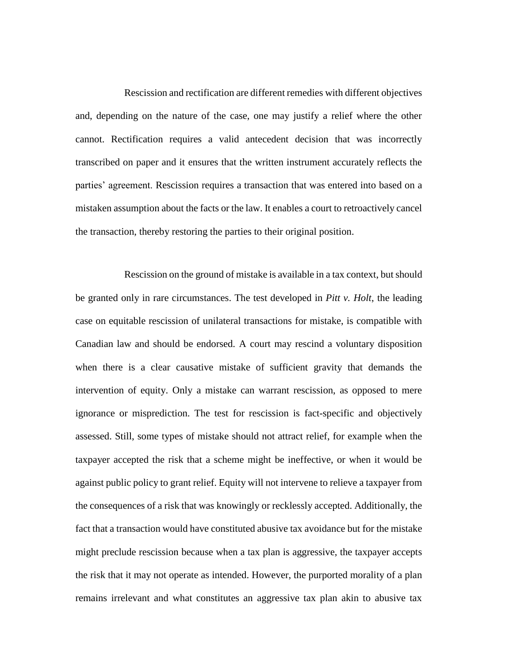Rescission and rectification are different remedies with different objectives and, depending on the nature of the case, one may justify a relief where the other cannot. Rectification requires a valid antecedent decision that was incorrectly transcribed on paper and it ensures that the written instrument accurately reflects the parties' agreement. Rescission requires a transaction that was entered into based on a mistaken assumption about the facts or the law. It enables a court to retroactively cancel the transaction, thereby restoring the parties to their original position.

Rescission on the ground of mistake is available in a tax context, but should be granted only in rare circumstances. The test developed in *Pitt v. Holt*, the leading case on equitable rescission of unilateral transactions for mistake, is compatible with Canadian law and should be endorsed. A court may rescind a voluntary disposition when there is a clear causative mistake of sufficient gravity that demands the intervention of equity. Only a mistake can warrant rescission, as opposed to mere ignorance or misprediction. The test for rescission is fact-specific and objectively assessed. Still, some types of mistake should not attract relief, for example when the taxpayer accepted the risk that a scheme might be ineffective, or when it would be against public policy to grant relief. Equity will not intervene to relieve a taxpayer from the consequences of a risk that was knowingly or recklessly accepted. Additionally, the fact that a transaction would have constituted abusive tax avoidance but for the mistake might preclude rescission because when a tax plan is aggressive, the taxpayer accepts the risk that it may not operate as intended. However, the purported morality of a plan remains irrelevant and what constitutes an aggressive tax plan akin to abusive tax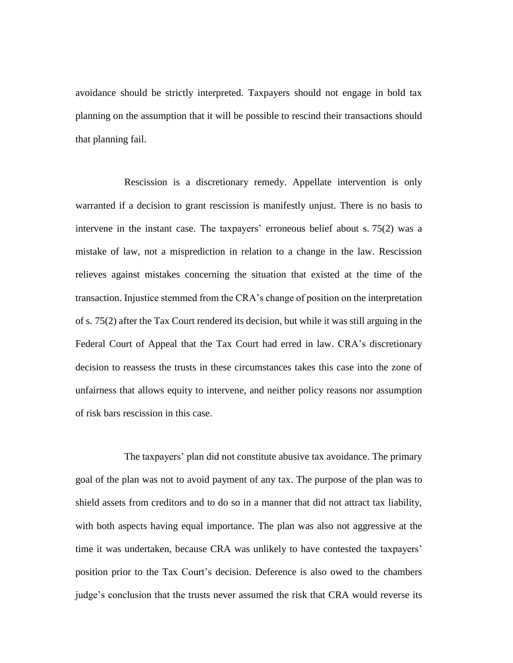avoidance should be strictly interpreted. Taxpayers should not engage in bold tax planning on the assumption that it will be possible to rescind their transactions should that planning fail.

Rescission is a discretionary remedy. Appellate intervention is only warranted if a decision to grant rescission is manifestly unjust. There is no basis to intervene in the instant case. The taxpayers' erroneous belief about s. 75(2) was a mistake of law, not a misprediction in relation to a change in the law. Rescission relieves against mistakes concerning the situation that existed at the time of the transaction. Injustice stemmed from the CRA's change of position on the interpretation of s. 75(2) after the Tax Court rendered its decision, but while it was still arguing in the Federal Court of Appeal that the Tax Court had erred in law. CRA's discretionary decision to reassess the trusts in these circumstances takes this case into the zone of unfairness that allows equity to intervene, and neither policy reasons nor assumption of risk bars rescission in this case.

The taxpayers' plan did not constitute abusive tax avoidance. The primary goal of the plan was not to avoid payment of any tax. The purpose of the plan was to shield assets from creditors and to do so in a manner that did not attract tax liability, with both aspects having equal importance. The plan was also not aggressive at the time it was undertaken, because CRA was unlikely to have contested the taxpayers' position prior to the Tax Court's decision. Deference is also owed to the chambers judge's conclusion that the trusts never assumed the risk that CRA would reverse its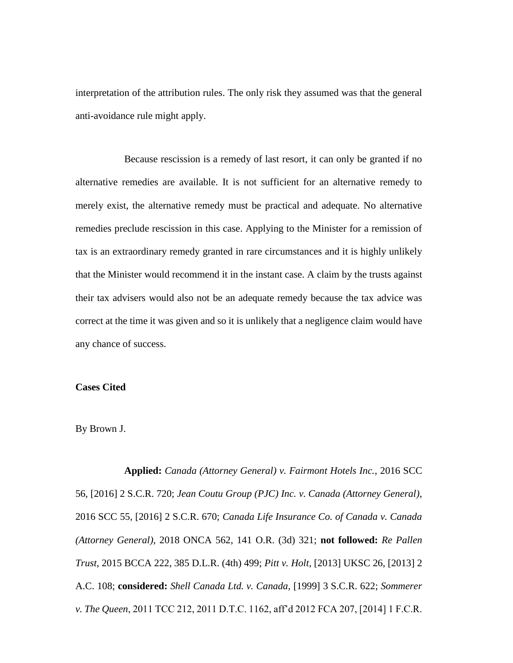interpretation of the attribution rules. The only risk they assumed was that the general anti-avoidance rule might apply.

Because rescission is a remedy of last resort, it can only be granted if no alternative remedies are available. It is not sufficient for an alternative remedy to merely exist, the alternative remedy must be practical and adequate. No alternative remedies preclude rescission in this case. Applying to the Minister for a remission of tax is an extraordinary remedy granted in rare circumstances and it is highly unlikely that the Minister would recommend it in the instant case. A claim by the trusts against their tax advisers would also not be an adequate remedy because the tax advice was correct at the time it was given and so it is unlikely that a negligence claim would have any chance of success.

### **Cases Cited**

#### By Brown J.

**Applied:** *Canada (Attorney General) v. Fairmont Hotels Inc.*, 2016 SCC 56, [2016] 2 S.C.R. 720; *Jean Coutu Group (PJC) Inc. v. Canada (Attorney General)*, 2016 SCC 55, [2016] 2 S.C.R. 670; *Canada Life Insurance Co. of Canada v. Canada (Attorney General)*, 2018 ONCA 562, 141 O.R. (3d) 321; **not followed:** *Re Pallen Trust*, 2015 BCCA 222, 385 D.L.R. (4th) 499; *Pitt v. Holt*, [2013] UKSC 26, [2013] 2 A.C. 108; **considered:** *Shell Canada Ltd. v. Canada*, [1999] 3 S.C.R. 622; *Sommerer v. The Queen*, 2011 TCC 212, 2011 D.T.C. 1162, aff'd 2012 FCA 207, [2014] 1 F.C.R.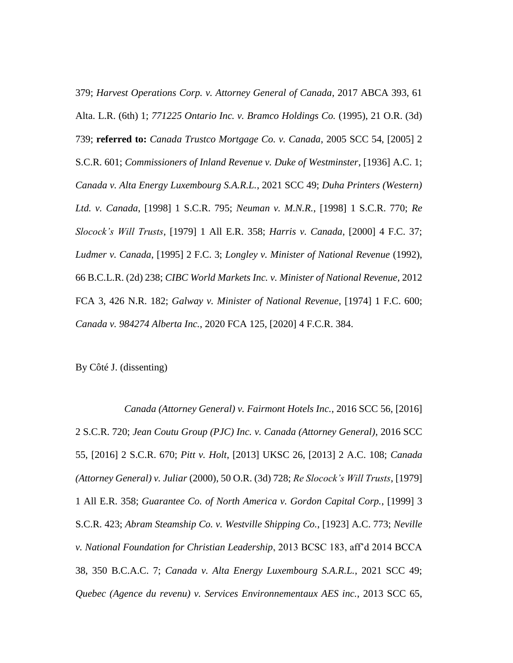379; *Harvest Operations Corp. v. Attorney General of Canada*, 2017 ABCA 393, 61 Alta. L.R. (6th) 1; *771225 Ontario Inc. v. Bramco Holdings Co.* (1995), 21 O.R. (3d) 739; **referred to:** *Canada Trustco Mortgage Co. v. Canada*, 2005 SCC 54, [2005] 2 S.C.R. 601; *Commissioners of Inland Revenue v. Duke of Westminster*, [1936] A.C. 1; *Canada v. Alta Energy Luxembourg S.A.R.L.*, 2021 SCC 49; *Duha Printers (Western) Ltd. v. Canada*, [1998] 1 S.C.R. 795; *Neuman v. M.N.R.*, [1998] 1 S.C.R. 770; *Re Slocock's Will Trusts*, [1979] 1 All E.R. 358; *Harris v. Canada*, [2000] 4 F.C. 37; *Ludmer v. Canada*, [1995] 2 F.C. 3; *Longley v. Minister of National Revenue* (1992), 66 B.C.L.R. (2d) 238; *CIBC World Markets Inc. v. Minister of National Revenue*, 2012 FCA 3, 426 N.R. 182; *Galway v. Minister of National Revenue*, [1974] 1 F.C. 600; *Canada v. 984274 Alberta Inc.*, 2020 FCA 125, [2020] 4 F.C.R. 384.

By Côté J. (dissenting)

*Canada (Attorney General) v. Fairmont Hotels Inc.*, 2016 SCC 56, [2016] 2 S.C.R. 720; *Jean Coutu Group (PJC) Inc. v. Canada (Attorney General)*, 2016 SCC 55, [2016] 2 S.C.R. 670; *Pitt v. Holt*, [2013] UKSC 26, [2013] 2 A.C. 108; *Canada (Attorney General) v. Juliar* (2000), 50 O.R. (3d) 728; *Re Slocock's Will Trusts*, [1979] 1 All E.R. 358; *Guarantee Co. of North America v. Gordon Capital Corp.*, [1999] 3 S.C.R. 423; *Abram Steamship Co. v. Westville Shipping Co.*, [1923] A.C. 773; *Neville v. National Foundation for Christian Leadership*, 2013 BCSC 183, aff'd 2014 BCCA 38, 350 B.C.A.C. 7; *Canada v. Alta Energy Luxembourg S.A.R.L.*, 2021 SCC 49; *Quebec (Agence du revenu) v. Services Environnementaux AES inc.*, 2013 SCC 65,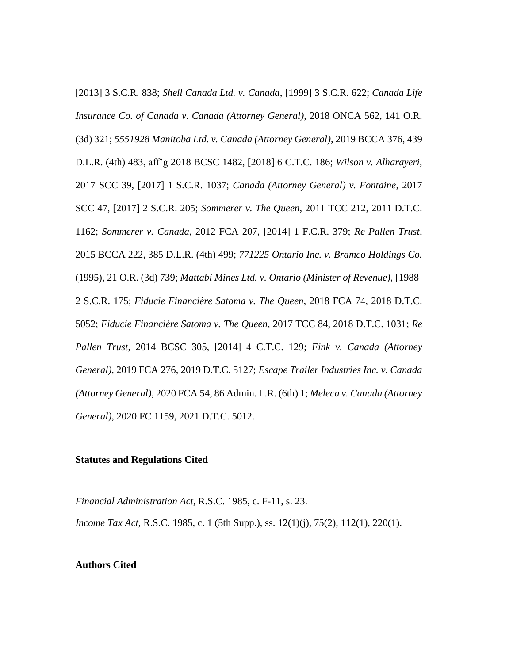[2013] 3 S.C.R. 838; *Shell Canada Ltd. v. Canada*, [1999] 3 S.C.R. 622; *Canada Life Insurance Co. of Canada v. Canada (Attorney General)*, 2018 ONCA 562, 141 O.R. (3d) 321; *5551928 Manitoba Ltd. v. Canada (Attorney General)*, 2019 BCCA 376, 439 D.L.R. (4th) 483, aff'g 2018 BCSC 1482, [2018] 6 C.T.C. 186; *Wilson v. Alharayeri*, 2017 SCC 39, [2017] 1 S.C.R. 1037; *Canada (Attorney General) v. Fontaine*, 2017 SCC 47, [2017] 2 S.C.R. 205; *Sommerer v. The Queen*, 2011 TCC 212, 2011 D.T.C. 1162; *Sommerer v. Canada*, 2012 FCA 207, [2014] 1 F.C.R. 379; *Re Pallen Trust*, 2015 BCCA 222, 385 D.L.R. (4th) 499; *771225 Ontario Inc. v. Bramco Holdings Co.* (1995), 21 O.R. (3d) 739; *Mattabi Mines Ltd. v. Ontario (Minister of Revenue)*, [1988] 2 S.C.R. 175; *Fiducie Financière Satoma v. The Queen*, 2018 FCA 74, 2018 D.T.C. 5052; *Fiducie Financière Satoma v. The Queen*, 2017 TCC 84, 2018 D.T.C. 1031; *Re Pallen Trust*, 2014 BCSC 305, [2014] 4 C.T.C. 129; *Fink v. Canada (Attorney General)*, 2019 FCA 276, 2019 D.T.C. 5127; *Escape Trailer Industries Inc. v. Canada (Attorney General)*, 2020 FCA 54, 86 Admin. L.R. (6th) 1; *Meleca v. Canada (Attorney General)*, 2020 FC 1159, 2021 D.T.C. 5012.

#### **Statutes and Regulations Cited**

*Financial Administration Act*, R.S.C. 1985, c. F-11, s. 23. *Income Tax Act*, R.S.C. 1985, c. 1 (5th Supp.), ss. 12(1)(j), 75(2), 112(1), 220(1).

### **Authors Cited**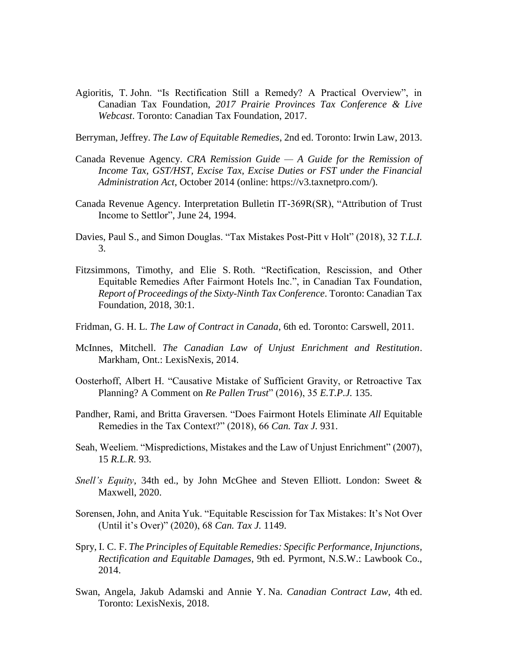Agioritis, T. John. "Is Rectification Still a Remedy? A Practical Overview", in Canadian Tax Foundation, *2017 Prairie Provinces Tax Conference & Live Webcast*. Toronto: Canadian Tax Foundation, 2017.

Berryman, Jeffrey. *The Law of Equitable Remedies*, 2nd ed. Toronto: Irwin Law, 2013.

- Canada Revenue Agency. *CRA Remission Guide — A Guide for the Remission of Income Tax, GST/HST, Excise Tax, Excise Duties or FST under the Financial Administration Act*, October 2014 (online: https://v3.taxnetpro.com/).
- Canada Revenue Agency. Interpretation Bulletin IT-369R(SR), "Attribution of Trust Income to Settlor", June 24, 1994.
- Davies, Paul S., and Simon Douglas. "Tax Mistakes Post-Pitt v Holt" (2018), 32 *T.L.I.* 3.
- Fitzsimmons, Timothy, and Elie S. Roth. "Rectification, Rescission, and Other Equitable Remedies After Fairmont Hotels Inc.", in Canadian Tax Foundation, *Report of Proceedings of the Sixty-Ninth Tax Conference*. Toronto: Canadian Tax Foundation, 2018, 30:1.
- Fridman, G. H. L. *The Law of Contract in Canada*, 6th ed. Toronto: Carswell, 2011.
- McInnes, Mitchell. *The Canadian Law of Unjust Enrichment and Restitution*. Markham, Ont.: LexisNexis, 2014.
- Oosterhoff, Albert H. "Causative Mistake of Sufficient Gravity, or Retroactive Tax Planning? A Comment on *Re Pallen Trust*" (2016), 35 *E.T.P.J.* 135.
- Pandher, Rami, and Britta Graversen. "Does Fairmont Hotels Eliminate *All* Equitable Remedies in the Tax Context?" (2018), 66 *Can. Tax J.* 931.
- Seah, Weeliem. "Mispredictions, Mistakes and the Law of Unjust Enrichment" (2007), 15 *R.L.R.* 93.
- *Snell's Equity*, 34th ed., by John McGhee and Steven Elliott. London: Sweet & Maxwell, 2020.
- Sorensen, John, and Anita Yuk. "Equitable Rescission for Tax Mistakes: It's Not Over (Until it's Over)" (2020), 68 *Can. Tax J.* 1149.
- Spry, I. C. F. *The Principles of Equitable Remedies: Specific Performance, Injunctions, Rectification and Equitable Damages*, 9th ed. Pyrmont, N.S.W.: Lawbook Co., 2014.
- Swan, Angela, Jakub Adamski and Annie Y. Na. *Canadian Contract Law*, 4th ed. Toronto: LexisNexis, 2018.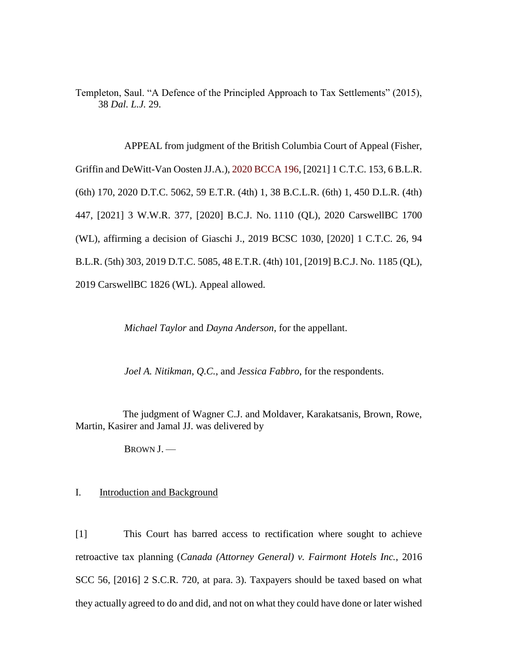Templeton, Saul. "A Defence of the Principled Approach to Tax Settlements" (2015), 38 *Dal. L.J.* 29.

APPEAL from judgment of the British Columbia Court of Appeal (Fisher, Griffin and DeWitt-Van Oosten JJ.A.), [2020 BCCA 196,](https://www.bccourts.ca/jdb-txt/ca/20/01/2020BCCA0196.htm) [2021] 1 C.T.C. 153, 6 B.L.R. (6th) 170, 2020 D.T.C. 5062, 59 E.T.R. (4th) 1, 38 B.C.L.R. (6th) 1, 450 D.L.R. (4th) 447, [2021] 3 W.W.R. 377, [2020] B.C.J. No. 1110 (QL), 2020 CarswellBC 1700 (WL), affirming a decision of Giaschi J., 2019 BCSC 1030, [2020] 1 C.T.C. 26, 94 B.L.R. (5th) 303, 2019 D.T.C. 5085, 48 E.T.R. (4th) 101, [2019] B.C.J. No. 1185 (QL), 2019 CarswellBC 1826 (WL). Appeal allowed.

*Michael Taylor* and *Dayna Anderson*, for the appellant.

*Joel A. Nitikman*, *Q.C.*, and *Jessica Fabbro*, for the respondents.

The judgment of Wagner C.J. and Moldaver, Karakatsanis, Brown, Rowe, Martin, Kasirer and Jamal JJ. was delivered by

BROWN J. —

#### I. Introduction and Background

[1] This Court has barred access to rectification where sought to achieve retroactive tax planning (*Canada (Attorney General) v. Fairmont Hotels Inc.*, 2016 SCC 56, [2016] 2 S.C.R. 720, at para. 3). Taxpayers should be taxed based on what they actually agreed to do and did, and not on what they could have done or later wished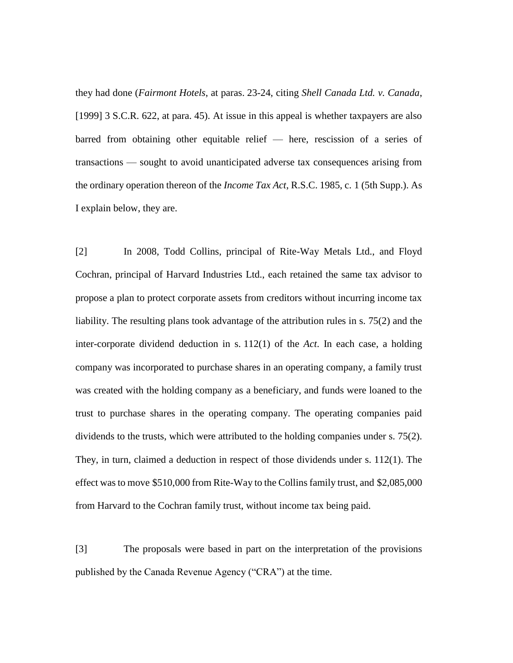they had done (*Fairmont Hotels*, at paras. 23-24, citing *Shell Canada Ltd. v. Canada*, [1999] 3 S.C.R. 622, at para. 45). At issue in this appeal is whether taxpayers are also barred from obtaining other equitable relief ⸺ here, rescission of a series of transactions ⸺ sought to avoid unanticipated adverse tax consequences arising from the ordinary operation thereon of the *Income Tax Act*, R.S.C. 1985, c. 1 (5th Supp.). As I explain below, they are.

[2] In 2008, Todd Collins, principal of Rite-Way Metals Ltd., and Floyd Cochran, principal of Harvard Industries Ltd., each retained the same tax advisor to propose a plan to protect corporate assets from creditors without incurring income tax liability. The resulting plans took advantage of the attribution rules in s. 75(2) and the inter-corporate dividend deduction in s. 112(1) of the *Act*. In each case, a holding company was incorporated to purchase shares in an operating company, a family trust was created with the holding company as a beneficiary, and funds were loaned to the trust to purchase shares in the operating company. The operating companies paid dividends to the trusts, which were attributed to the holding companies under s. 75(2). They, in turn, claimed a deduction in respect of those dividends under s. 112(1). The effect was to move \$510,000 from Rite-Way to the Collins family trust, and \$2,085,000 from Harvard to the Cochran family trust, without income tax being paid.

[3] The proposals were based in part on the interpretation of the provisions published by the Canada Revenue Agency ("CRA") at the time.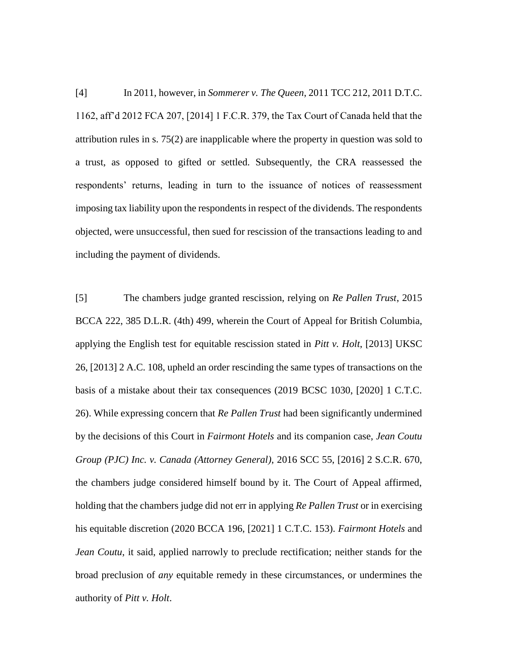[4] In 2011, however, in *Sommerer v. The Queen*, 2011 TCC 212, 2011 D.T.C. 1162, aff'd 2012 FCA 207, [2014] 1 F.C.R. 379, the Tax Court of Canada held that the attribution rules in s. 75(2) are inapplicable where the property in question was sold to a trust, as opposed to gifted or settled. Subsequently, the CRA reassessed the respondents' returns, leading in turn to the issuance of notices of reassessment imposing tax liability upon the respondents in respect of the dividends. The respondents objected, were unsuccessful, then sued for rescission of the transactions leading to and including the payment of dividends.

[5] The chambers judge granted rescission, relying on *Re Pallen Trust*, 2015 BCCA 222, 385 D.L.R. (4th) 499, wherein the Court of Appeal for British Columbia, applying the English test for equitable rescission stated in *Pitt v. Holt*, [2013] UKSC 26, [2013] 2 A.C. 108, upheld an order rescinding the same types of transactions on the basis of a mistake about their tax consequences (2019 BCSC 1030, [2020] 1 C.T.C. 26). While expressing concern that *Re Pallen Trust* had been significantly undermined by the decisions of this Court in *Fairmont Hotels* and its companion case, *Jean Coutu Group (PJC) Inc. v. Canada (Attorney General)*, 2016 SCC 55, [2016] 2 S.C.R. 670, the chambers judge considered himself bound by it. The Court of Appeal affirmed, holding that the chambers judge did not err in applying *Re Pallen Trust* or in exercising his equitable discretion (2020 BCCA 196, [2021] 1 C.T.C. 153). *Fairmont Hotels* and *Jean Coutu*, it said, applied narrowly to preclude rectification; neither stands for the broad preclusion of *any* equitable remedy in these circumstances, or undermines the authority of *Pitt v. Holt*.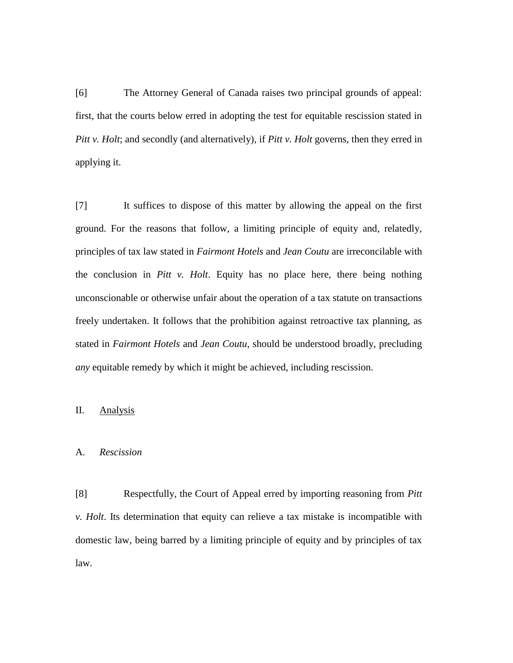[6] The Attorney General of Canada raises two principal grounds of appeal: first, that the courts below erred in adopting the test for equitable rescission stated in *Pitt v. Holt*; and secondly (and alternatively), if *Pitt v. Holt* governs, then they erred in applying it.

[7] It suffices to dispose of this matter by allowing the appeal on the first ground. For the reasons that follow, a limiting principle of equity and, relatedly, principles of tax law stated in *Fairmont Hotels* and *Jean Coutu* are irreconcilable with the conclusion in *Pitt v. Holt*. Equity has no place here, there being nothing unconscionable or otherwise unfair about the operation of a tax statute on transactions freely undertaken. It follows that the prohibition against retroactive tax planning, as stated in *Fairmont Hotels* and *Jean Coutu*, should be understood broadly, precluding *any* equitable remedy by which it might be achieved, including rescission.

### II. Analysis

#### A. *Rescission*

[8] Respectfully, the Court of Appeal erred by importing reasoning from *Pitt v. Holt*. Its determination that equity can relieve a tax mistake is incompatible with domestic law, being barred by a limiting principle of equity and by principles of tax law.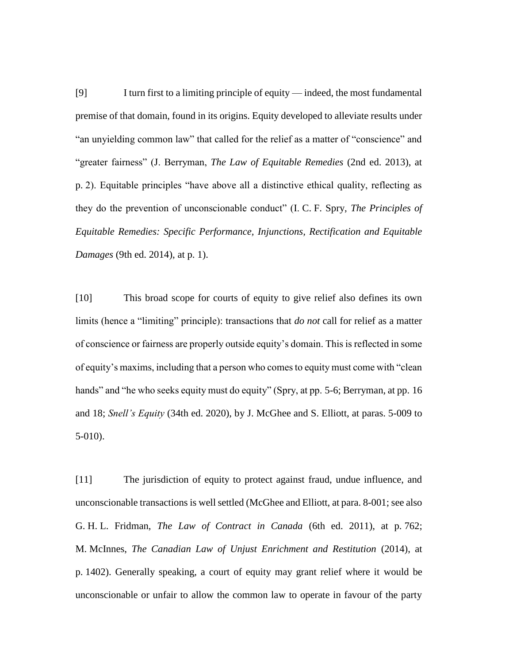[9] I turn first to a limiting principle of equity ⸺ indeed, the most fundamental premise of that domain, found in its origins. Equity developed to alleviate results under "an unyielding common law" that called for the relief as a matter of "conscience" and "greater fairness" (J. Berryman, *The Law of Equitable Remedies* (2nd ed. 2013), at p. 2). Equitable principles "have above all a distinctive ethical quality, reflecting as they do the prevention of unconscionable conduct" (I. C. F. Spry, *The Principles of Equitable Remedies: Specific Performance, Injunctions, Rectification and Equitable Damages* (9th ed. 2014), at p. 1).

[10] This broad scope for courts of equity to give relief also defines its own limits (hence a "limiting" principle): transactions that *do not* call for relief as a matter of conscience or fairness are properly outside equity's domain. This is reflected in some of equity's maxims, including that a person who comes to equity must come with "clean hands" and "he who seeks equity must do equity" (Spry, at pp. 5-6; Berryman, at pp. 16 and 18; *Snell's Equity* (34th ed. 2020), by J. McGhee and S. Elliott, at paras. 5-009 to 5-010).

[11] The jurisdiction of equity to protect against fraud, undue influence, and unconscionable transactions is well settled (McGhee and Elliott, at para. 8-001; see also G. H. L. Fridman, *The Law of Contract in Canada* (6th ed. 2011), at p. 762; M. McInnes, *The Canadian Law of Unjust Enrichment and Restitution* (2014), at p. 1402). Generally speaking, a court of equity may grant relief where it would be unconscionable or unfair to allow the common law to operate in favour of the party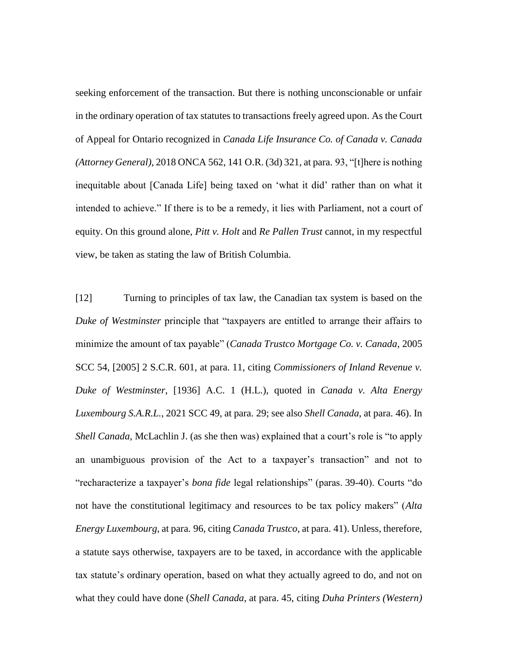seeking enforcement of the transaction. But there is nothing unconscionable or unfair in the ordinary operation of tax statutes to transactions freely agreed upon. As the Court of Appeal for Ontario recognized in *Canada Life Insurance Co. of Canada v. Canada (Attorney General)*, 2018 ONCA 562, 141 O.R. (3d) 321, at para. 93, "[t]here is nothing inequitable about [Canada Life] being taxed on 'what it did' rather than on what it intended to achieve." If there is to be a remedy, it lies with Parliament, not a court of equity. On this ground alone, *Pitt v. Holt* and *Re Pallen Trust* cannot, in my respectful view, be taken as stating the law of British Columbia.

[12] Turning to principles of tax law, the Canadian tax system is based on the *Duke of Westminster* principle that "taxpayers are entitled to arrange their affairs to minimize the amount of tax payable" (*Canada Trustco Mortgage Co. v. Canada*, 2005 SCC 54, [2005] 2 S.C.R. 601, at para. 11, citing *Commissioners of Inland Revenue v. Duke of Westminster*, [1936] A.C. 1 (H.L.), quoted in *Canada v. Alta Energy Luxembourg S.A.R.L.*, 2021 SCC 49, at para. 29; see also *Shell Canada*, at para. 46). In *Shell Canada*, McLachlin J. (as she then was) explained that a court's role is "to apply an unambiguous provision of the Act to a taxpayer's transaction" and not to "recharacterize a taxpayer's *bona fide* legal relationships" (paras. 39-40). Courts "do not have the constitutional legitimacy and resources to be tax policy makers" (*Alta Energy Luxembourg*, at para. 96, citing *Canada Trustco*, at para. 41). Unless, therefore, a statute says otherwise, taxpayers are to be taxed, in accordance with the applicable tax statute's ordinary operation, based on what they actually agreed to do, and not on what they could have done (*Shell Canada*, at para. 45, citing *Duha Printers (Western)*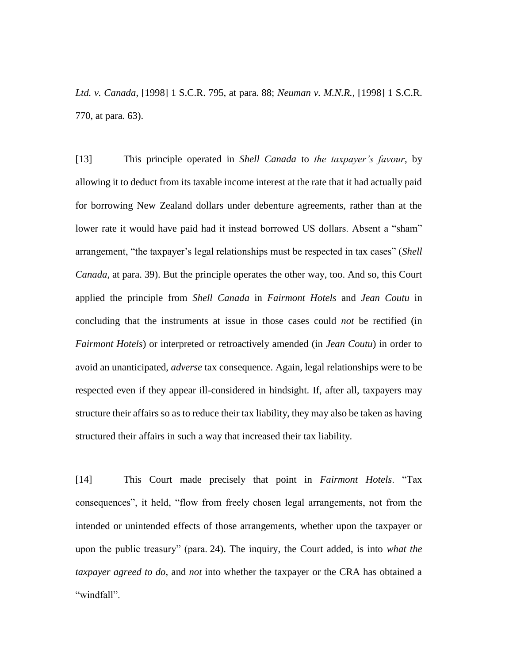*Ltd. v. Canada*, [1998] 1 S.C.R. 795, at para. 88; *Neuman v. M.N.R.*, [1998] 1 S.C.R. 770, at para. 63).

[13] This principle operated in *Shell Canada* to *the taxpayer's favour*, by allowing it to deduct from its taxable income interest at the rate that it had actually paid for borrowing New Zealand dollars under debenture agreements, rather than at the lower rate it would have paid had it instead borrowed US dollars. Absent a "sham" arrangement, "the taxpayer's legal relationships must be respected in tax cases" (*Shell Canada*, at para. 39). But the principle operates the other way, too. And so, this Court applied the principle from *Shell Canada* in *Fairmont Hotels* and *Jean Coutu* in concluding that the instruments at issue in those cases could *not* be rectified (in *Fairmont Hotels*) or interpreted or retroactively amended (in *Jean Coutu*) in order to avoid an unanticipated, *adverse* tax consequence. Again, legal relationships were to be respected even if they appear ill-considered in hindsight. If, after all, taxpayers may structure their affairs so as to reduce their tax liability, they may also be taken as having structured their affairs in such a way that increased their tax liability.

[14] This Court made precisely that point in *Fairmont Hotels*. "Tax consequences", it held, "flow from freely chosen legal arrangements, not from the intended or unintended effects of those arrangements, whether upon the taxpayer or upon the public treasury" (para. 24). The inquiry, the Court added, is into *what the taxpayer agreed to do*, and *not* into whether the taxpayer or the CRA has obtained a "windfall".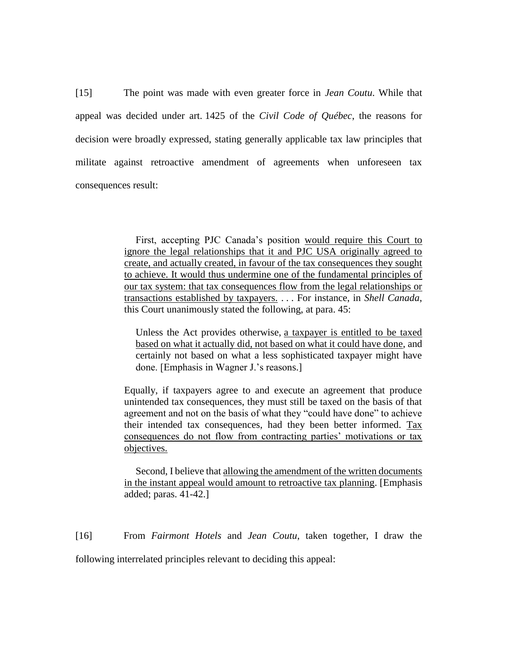[15] The point was made with even greater force in *Jean Coutu*. While that appeal was decided under art. 1425 of the *Civil Code of Québec*, the reasons for decision were broadly expressed, stating generally applicable tax law principles that militate against retroactive amendment of agreements when unforeseen tax consequences result:

> First, accepting PJC Canada's position would require this Court to ignore the legal relationships that it and PJC USA originally agreed to create, and actually created, in favour of the tax consequences they sought to achieve. It would thus undermine one of the fundamental principles of our tax system: that tax consequences flow from the legal relationships or transactions established by taxpayers. . . . For instance, in *Shell Canada*, this Court unanimously stated the following, at para. 45:

Unless the Act provides otherwise, a taxpayer is entitled to be taxed based on what it actually did, not based on what it could have done, and certainly not based on what a less sophisticated taxpayer might have done. [Emphasis in Wagner J.'s reasons.]

Equally, if taxpayers agree to and execute an agreement that produce unintended tax consequences, they must still be taxed on the basis of that agreement and not on the basis of what they "could have done" to achieve their intended tax consequences, had they been better informed. Tax consequences do not flow from contracting parties' motivations or tax objectives.

Second, I believe that allowing the amendment of the written documents in the instant appeal would amount to retroactive tax planning. [Emphasis added; paras. 41-42.]

[16] From *Fairmont Hotels* and *Jean Coutu*, taken together, I draw the following interrelated principles relevant to deciding this appeal: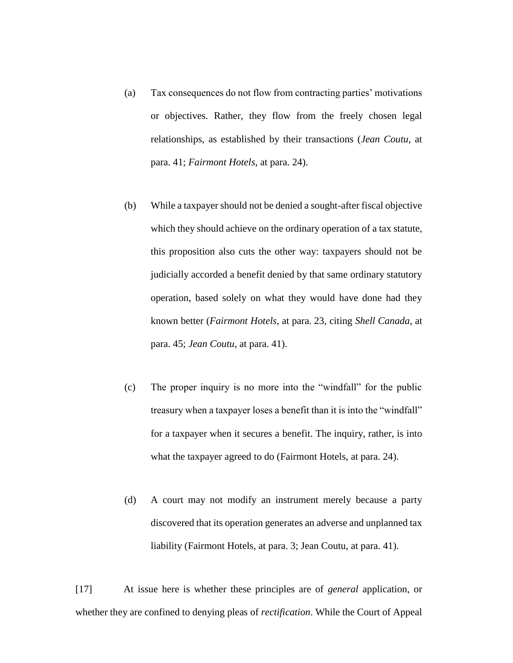- (a) Tax consequences do not flow from contracting parties' motivations or objectives. Rather, they flow from the freely chosen legal relationships, as established by their transactions (*Jean Coutu*, at para. 41; *Fairmont Hotels*, at para. 24).
- (b) While a taxpayer should not be denied a sought-after fiscal objective which they should achieve on the ordinary operation of a tax statute, this proposition also cuts the other way: taxpayers should not be judicially accorded a benefit denied by that same ordinary statutory operation, based solely on what they would have done had they known better (*Fairmont Hotels*, at para. 23, citing *Shell Canada*, at para. 45; *Jean Coutu*, at para. 41).
- (c) The proper inquiry is no more into the "windfall" for the public treasury when a taxpayer loses a benefit than it is into the "windfall" for a taxpayer when it secures a benefit. The inquiry, rather, is into what the taxpayer agreed to do (Fairmont Hotels, at para. 24).
- (d) A court may not modify an instrument merely because a party discovered that its operation generates an adverse and unplanned tax liability (Fairmont Hotels, at para. 3; Jean Coutu, at para. 41).

[17] At issue here is whether these principles are of *general* application, or whether they are confined to denying pleas of *rectification*. While the Court of Appeal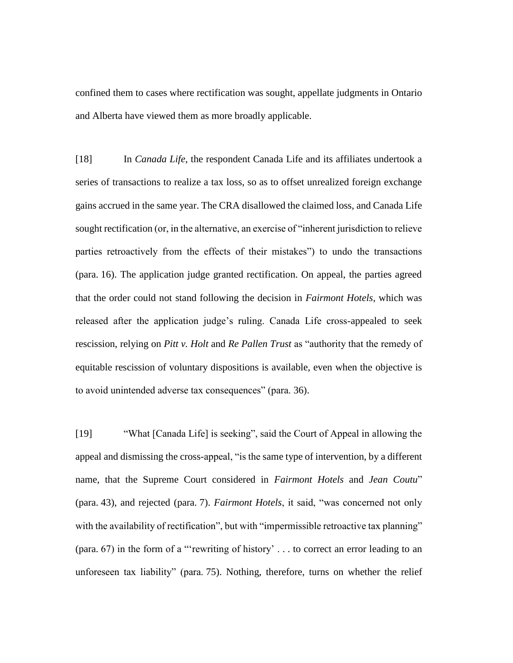confined them to cases where rectification was sought, appellate judgments in Ontario and Alberta have viewed them as more broadly applicable.

[18] In *Canada Life*, the respondent Canada Life and its affiliates undertook a series of transactions to realize a tax loss, so as to offset unrealized foreign exchange gains accrued in the same year. The CRA disallowed the claimed loss, and Canada Life sought rectification (or, in the alternative, an exercise of "inherent jurisdiction to relieve parties retroactively from the effects of their mistakes") to undo the transactions (para. 16). The application judge granted rectification. On appeal, the parties agreed that the order could not stand following the decision in *Fairmont Hotels*, which was released after the application judge's ruling. Canada Life cross-appealed to seek rescission, relying on *Pitt v. Holt* and *Re Pallen Trust* as "authority that the remedy of equitable rescission of voluntary dispositions is available, even when the objective is to avoid unintended adverse tax consequences" (para. 36).

[19] "What [Canada Life] is seeking", said the Court of Appeal in allowing the appeal and dismissing the cross-appeal, "is the same type of intervention, by a different name, that the Supreme Court considered in *Fairmont Hotels* and *Jean Coutu*" (para. 43), and rejected (para. 7). *Fairmont Hotels*, it said, "was concerned not only with the availability of rectification", but with "impermissible retroactive tax planning" (para. 67) in the form of a "'rewriting of history' . . . to correct an error leading to an unforeseen tax liability" (para. 75). Nothing, therefore, turns on whether the relief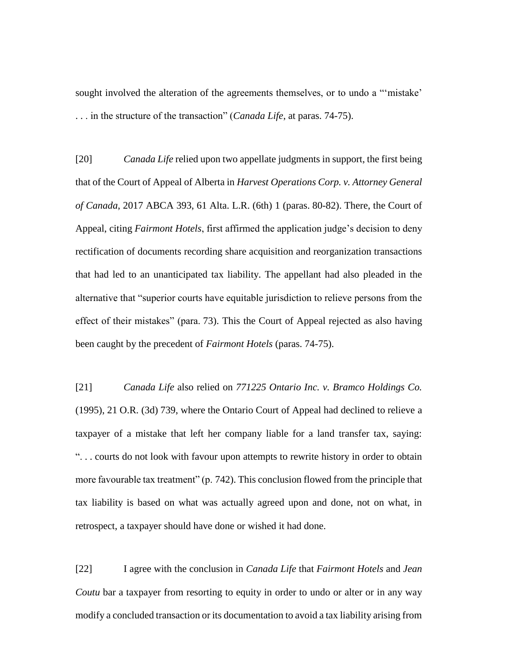sought involved the alteration of the agreements themselves, or to undo a "'mistake' . . . in the structure of the transaction" (*Canada Life*, at paras. 74-75).

[20] *Canada Life* relied upon two appellate judgments in support, the first being that of the Court of Appeal of Alberta in *Harvest Operations Corp. v. Attorney General of Canada*, 2017 ABCA 393, 61 Alta. L.R. (6th) 1 (paras. 80-82). There, the Court of Appeal, citing *Fairmont Hotels*, first affirmed the application judge's decision to deny rectification of documents recording share acquisition and reorganization transactions that had led to an unanticipated tax liability. The appellant had also pleaded in the alternative that "superior courts have equitable jurisdiction to relieve persons from the effect of their mistakes" (para. 73). This the Court of Appeal rejected as also having been caught by the precedent of *Fairmont Hotels* (paras. 74-75).

[21] *Canada Life* also relied on *771225 Ontario Inc. v. Bramco Holdings Co.*  (1995), 21 O.R. (3d) 739, where the Ontario Court of Appeal had declined to relieve a taxpayer of a mistake that left her company liable for a land transfer tax, saying: ". . . courts do not look with favour upon attempts to rewrite history in order to obtain more favourable tax treatment" (p. 742). This conclusion flowed from the principle that tax liability is based on what was actually agreed upon and done, not on what, in retrospect, a taxpayer should have done or wished it had done.

[22] I agree with the conclusion in *Canada Life* that *Fairmont Hotels* and *Jean Coutu* bar a taxpayer from resorting to equity in order to undo or alter or in any way modify a concluded transaction or its documentation to avoid a tax liability arising from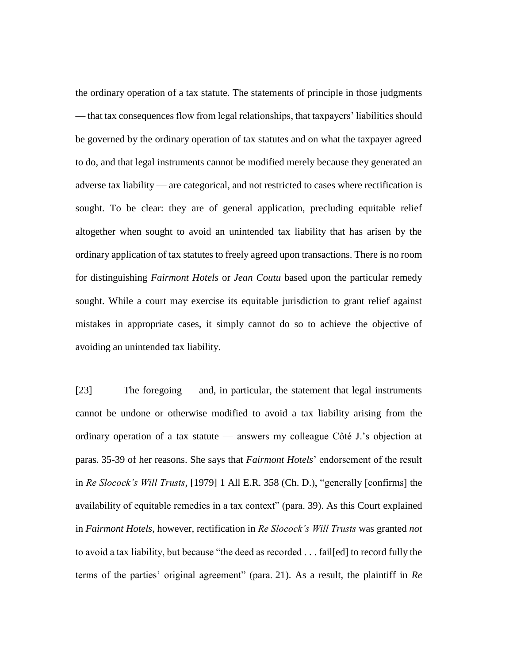the ordinary operation of a tax statute. The statements of principle in those judgments ⸺ that tax consequences flow from legal relationships, that taxpayers' liabilities should be governed by the ordinary operation of tax statutes and on what the taxpayer agreed to do, and that legal instruments cannot be modified merely because they generated an adverse tax liability ⸺ are categorical, and not restricted to cases where rectification is sought. To be clear: they are of general application, precluding equitable relief altogether when sought to avoid an unintended tax liability that has arisen by the ordinary application of tax statutes to freely agreed upon transactions. There is no room for distinguishing *Fairmont Hotels* or *Jean Coutu* based upon the particular remedy sought. While a court may exercise its equitable jurisdiction to grant relief against mistakes in appropriate cases, it simply cannot do so to achieve the objective of avoiding an unintended tax liability.

[23] The foregoing — and, in particular, the statement that legal instruments cannot be undone or otherwise modified to avoid a tax liability arising from the ordinary operation of a tax statute ⸺ answers my colleague Côté J.'s objection at paras. 35-39 of her reasons. She says that *Fairmont Hotels*' endorsement of the result in *Re Slocock's Will Trusts*, [1979] 1 All E.R. 358 (Ch. D.), "generally [confirms] the availability of equitable remedies in a tax context" (para. 39). As this Court explained in *Fairmont Hotels*, however, rectification in *Re Slocock's Will Trusts* was granted *not* to avoid a tax liability, but because "the deed as recorded . . . fail[ed] to record fully the terms of the parties' original agreement" (para. 21). As a result, the plaintiff in *Re*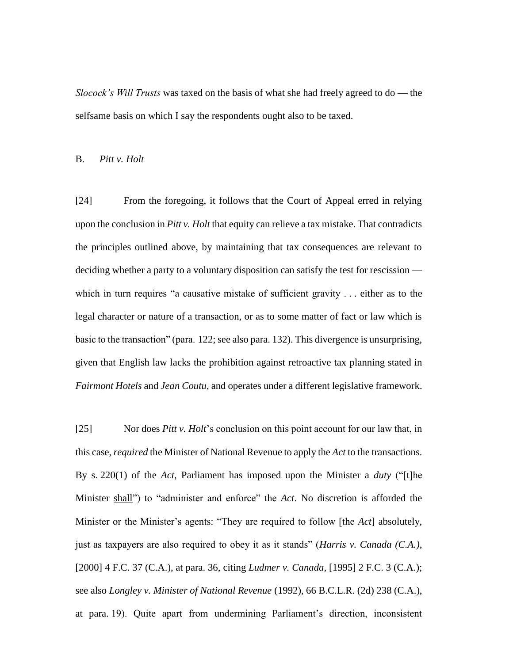*Slocock's Will Trusts* was taxed on the basis of what she had freely agreed to do — the selfsame basis on which I say the respondents ought also to be taxed.

#### B. *Pitt v. Holt*

[24] From the foregoing, it follows that the Court of Appeal erred in relying upon the conclusion in *Pitt v. Holt* that equity can relieve a tax mistake. That contradicts the principles outlined above, by maintaining that tax consequences are relevant to deciding whether a party to a voluntary disposition can satisfy the test for rescission ⸺ which in turn requires "a causative mistake of sufficient gravity . . . either as to the legal character or nature of a transaction, or as to some matter of fact or law which is basic to the transaction" (para. 122; see also para. 132). This divergence is unsurprising, given that English law lacks the prohibition against retroactive tax planning stated in *Fairmont Hotels* and *Jean Coutu*, and operates under a different legislative framework.

[25] Nor does *Pitt v. Holt*'s conclusion on this point account for our law that, in this case, *required* the Minister of National Revenue to apply the *Act* to the transactions. By s. 220(1) of the *Act*, Parliament has imposed upon the Minister a *duty* ("[t]he Minister shall") to "administer and enforce" the *Act*. No discretion is afforded the Minister or the Minister's agents: "They are required to follow [the *Act*] absolutely, just as taxpayers are also required to obey it as it stands" (*Harris v. Canada (C.A.)*, [2000] 4 F.C. 37 (C.A.), at para. 36, citing *Ludmer v. Canada*, [1995] 2 F.C. 3 (C.A.); see also *Longley v. Minister of National Revenue* (1992), 66 B.C.L.R. (2d) 238 (C.A.), at para. 19). Quite apart from undermining Parliament's direction, inconsistent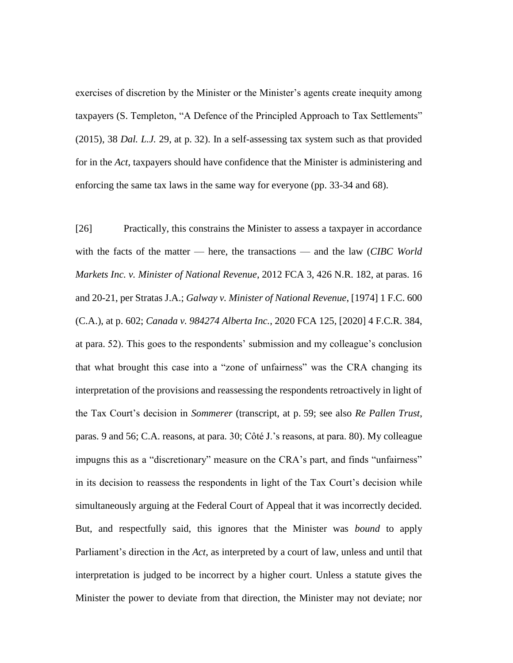exercises of discretion by the Minister or the Minister's agents create inequity among taxpayers (S. Templeton, "A Defence of the Principled Approach to Tax Settlements" (2015), 38 *Dal. L.J.* 29, at p. 32). In a self-assessing tax system such as that provided for in the *Act*, taxpayers should have confidence that the Minister is administering and enforcing the same tax laws in the same way for everyone (pp. 33-34 and 68).

[26] Practically, this constrains the Minister to assess a taxpayer in accordance with the facts of the matter — here, the transactions — and the law (*CIBC World Markets Inc. v. Minister of National Revenue*, 2012 FCA 3, 426 N.R. 182, at paras. 16 and 20-21, per Stratas J.A.; *Galway v. Minister of National Revenue*, [1974] 1 F.C. 600 (C.A.), at p. 602; *Canada v. 984274 Alberta Inc.*, 2020 FCA 125, [2020] 4 F.C.R. 384, at para. 52). This goes to the respondents' submission and my colleague's conclusion that what brought this case into a "zone of unfairness" was the CRA changing its interpretation of the provisions and reassessing the respondents retroactively in light of the Tax Court's decision in *Sommerer* (transcript, at p. 59; see also *Re Pallen Trust*, paras. 9 and 56; C.A. reasons, at para. 30; Côté J.'s reasons, at para. 80). My colleague impugns this as a "discretionary" measure on the CRA's part, and finds "unfairness" in its decision to reassess the respondents in light of the Tax Court's decision while simultaneously arguing at the Federal Court of Appeal that it was incorrectly decided. But, and respectfully said, this ignores that the Minister was *bound* to apply Parliament's direction in the *Act*, as interpreted by a court of law, unless and until that interpretation is judged to be incorrect by a higher court. Unless a statute gives the Minister the power to deviate from that direction, the Minister may not deviate; nor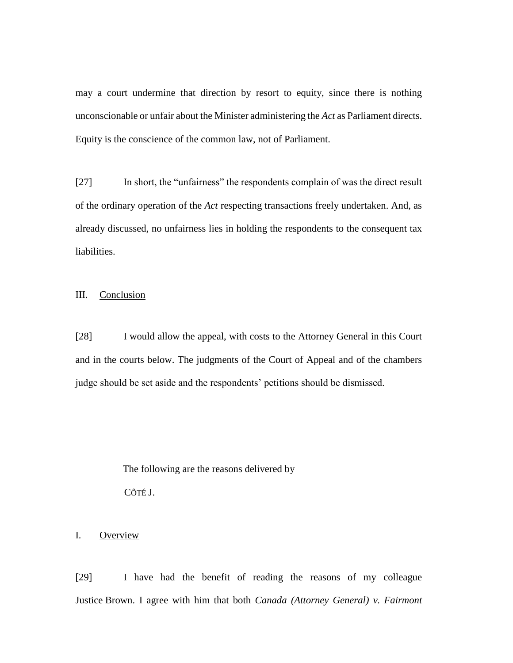may a court undermine that direction by resort to equity, since there is nothing unconscionable or unfair about the Minister administering the *Act* as Parliament directs. Equity is the conscience of the common law, not of Parliament.

[27] In short, the "unfairness" the respondents complain of was the direct result of the ordinary operation of the *Act* respecting transactions freely undertaken. And, as already discussed, no unfairness lies in holding the respondents to the consequent tax liabilities.

### III. Conclusion

[28] I would allow the appeal, with costs to the Attorney General in this Court and in the courts below. The judgments of the Court of Appeal and of the chambers judge should be set aside and the respondents' petitions should be dismissed.

The following are the reasons delivered by

 $C$ ôté J. —

### I. Overview

[29] I have had the benefit of reading the reasons of my colleague Justice Brown. I agree with him that both *Canada (Attorney General) v. Fairmont*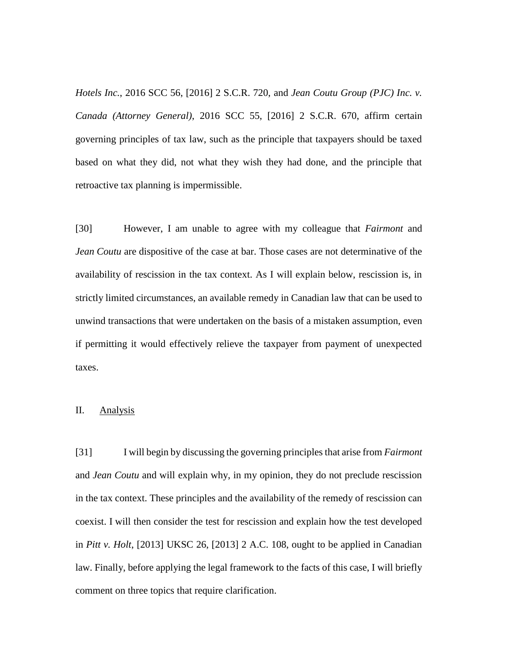*Hotels Inc.*, 2016 SCC 56, [2016] 2 S.C.R. 720, and *Jean Coutu Group (PJC) Inc. v. Canada (Attorney General)*, 2016 SCC 55, [2016] 2 S.C.R. 670, affirm certain governing principles of tax law, such as the principle that taxpayers should be taxed based on what they did, not what they wish they had done, and the principle that retroactive tax planning is impermissible.

[30] However, I am unable to agree with my colleague that *Fairmont* and *Jean Coutu* are dispositive of the case at bar. Those cases are not determinative of the availability of rescission in the tax context. As I will explain below, rescission is, in strictly limited circumstances, an available remedy in Canadian law that can be used to unwind transactions that were undertaken on the basis of a mistaken assumption, even if permitting it would effectively relieve the taxpayer from payment of unexpected taxes.

### II. Analysis

[31] I will begin by discussing the governing principles that arise from *Fairmont* and *Jean Coutu* and will explain why, in my opinion, they do not preclude rescission in the tax context. These principles and the availability of the remedy of rescission can coexist. I will then consider the test for rescission and explain how the test developed in *Pitt v. Holt*, [2013] UKSC 26, [2013] 2 A.C. 108, ought to be applied in Canadian law. Finally, before applying the legal framework to the facts of this case, I will briefly comment on three topics that require clarification.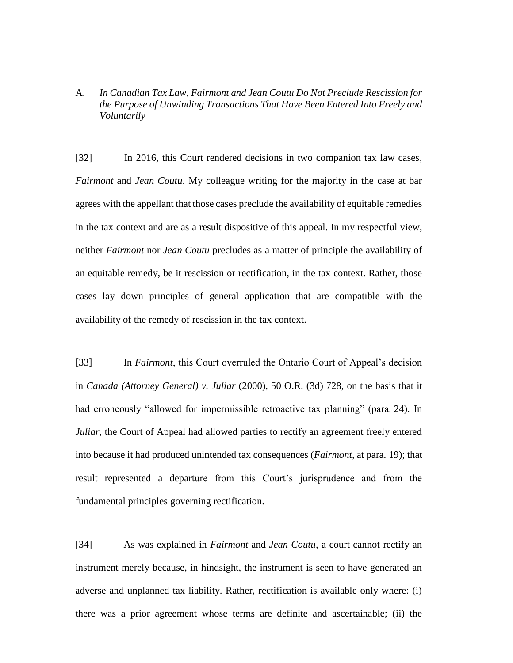A. *In Canadian Tax Law, Fairmont and Jean Coutu Do Not Preclude Rescission for the Purpose of Unwinding Transactions That Have Been Entered Into Freely and Voluntarily*

[32] In 2016, this Court rendered decisions in two companion tax law cases, *Fairmont* and *Jean Coutu*. My colleague writing for the majority in the case at bar agrees with the appellant that those cases preclude the availability of equitable remedies in the tax context and are as a result dispositive of this appeal. In my respectful view, neither *Fairmont* nor *Jean Coutu* precludes as a matter of principle the availability of an equitable remedy, be it rescission or rectification, in the tax context. Rather, those cases lay down principles of general application that are compatible with the availability of the remedy of rescission in the tax context.

[33] In *Fairmont*, this Court overruled the Ontario Court of Appeal's decision in *Canada (Attorney General) v. Juliar* (2000), 50 O.R. (3d) 728, on the basis that it had erroneously "allowed for impermissible retroactive tax planning" (para. 24). In *Juliar*, the Court of Appeal had allowed parties to rectify an agreement freely entered into because it had produced unintended tax consequences (*Fairmont*, at para. 19); that result represented a departure from this Court's jurisprudence and from the fundamental principles governing rectification.

[34] As was explained in *Fairmont* and *Jean Coutu*, a court cannot rectify an instrument merely because, in hindsight, the instrument is seen to have generated an adverse and unplanned tax liability. Rather, rectification is available only where: (i) there was a prior agreement whose terms are definite and ascertainable; (ii) the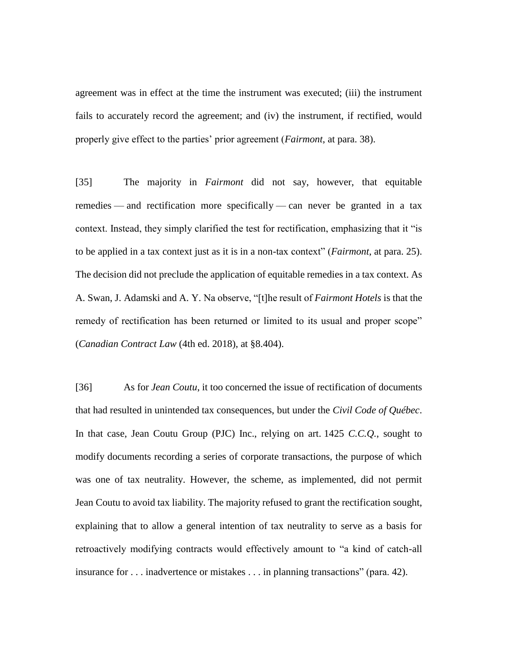agreement was in effect at the time the instrument was executed; (iii) the instrument fails to accurately record the agreement; and (iv) the instrument, if rectified, would properly give effect to the parties' prior agreement (*Fairmont*, at para. 38).

[35] The majority in *Fairmont* did not say, however, that equitable remedies — and rectification more specifically — can never be granted in a tax context. Instead, they simply clarified the test for rectification, emphasizing that it "is to be applied in a tax context just as it is in a non-tax context" (*Fairmont*, at para. 25). The decision did not preclude the application of equitable remedies in a tax context. As A. Swan, J. Adamski and A. Y. Na observe, "[t]he result of *Fairmont Hotels* is that the remedy of rectification has been returned or limited to its usual and proper scope" (*Canadian Contract Law* (4th ed. 2018), at §8.404).

[36] As for *Jean Coutu*, it too concerned the issue of rectification of documents that had resulted in unintended tax consequences, but under the *Civil Code of Québec*. In that case, Jean Coutu Group (PJC) Inc., relying on art. 1425 *C.C.Q.*, sought to modify documents recording a series of corporate transactions, the purpose of which was one of tax neutrality. However, the scheme, as implemented, did not permit Jean Coutu to avoid tax liability. The majority refused to grant the rectification sought, explaining that to allow a general intention of tax neutrality to serve as a basis for retroactively modifying contracts would effectively amount to "a kind of catch-all insurance for . . . inadvertence or mistakes . . . in planning transactions" (para. 42).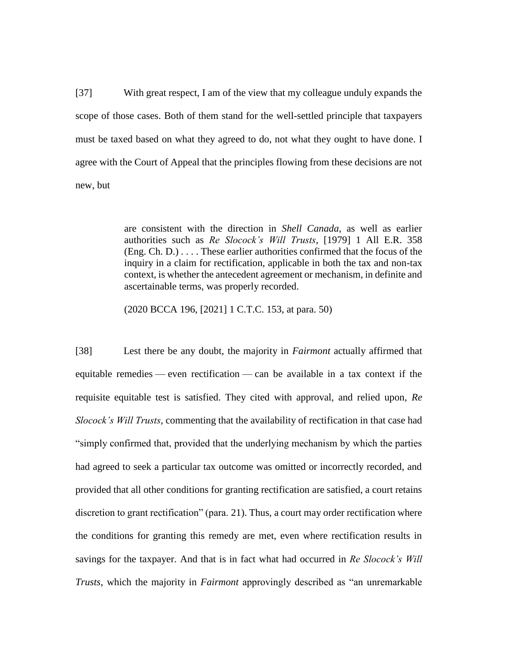[37] With great respect, I am of the view that my colleague unduly expands the scope of those cases. Both of them stand for the well-settled principle that taxpayers must be taxed based on what they agreed to do, not what they ought to have done. I agree with the Court of Appeal that the principles flowing from these decisions are not new, but

> are consistent with the direction in *Shell Canada*, as well as earlier authorities such as *Re Slocock's Will Trusts*, [1979] 1 All E.R. 358 (Eng. Ch. D.) . . . . These earlier authorities confirmed that the focus of the inquiry in a claim for rectification, applicable in both the tax and non-tax context, is whether the antecedent agreement or mechanism, in definite and ascertainable terms, was properly recorded.

(2020 BCCA 196, [2021] 1 C.T.C. 153, at para. 50)

[38] Lest there be any doubt, the majority in *Fairmont* actually affirmed that equitable remedies — even rectification — can be available in a tax context if the requisite equitable test is satisfied. They cited with approval, and relied upon, *Re Slocock's Will Trusts*, commenting that the availability of rectification in that case had "simply confirmed that, provided that the underlying mechanism by which the parties had agreed to seek a particular tax outcome was omitted or incorrectly recorded, and provided that all other conditions for granting rectification are satisfied, a court retains discretion to grant rectification" (para. 21). Thus, a court may order rectification where the conditions for granting this remedy are met, even where rectification results in savings for the taxpayer. And that is in fact what had occurred in *Re Slocock's Will Trusts*, which the majority in *Fairmont* approvingly described as "an unremarkable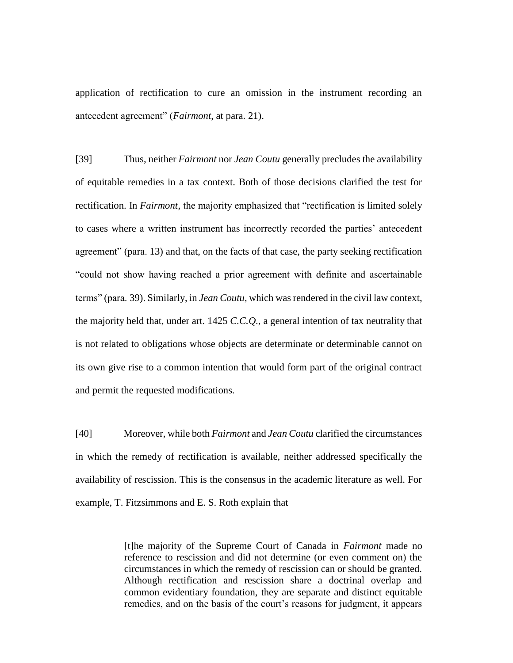application of rectification to cure an omission in the instrument recording an antecedent agreement" (*Fairmont*, at para. 21).

[39] Thus, neither *Fairmont* nor *Jean Coutu* generally precludes the availability of equitable remedies in a tax context. Both of those decisions clarified the test for rectification. In *Fairmont*, the majority emphasized that "rectification is limited solely to cases where a written instrument has incorrectly recorded the parties' antecedent agreement" (para. 13) and that, on the facts of that case, the party seeking rectification "could not show having reached a prior agreement with definite and ascertainable terms" (para. 39). Similarly, in *Jean Coutu*, which was rendered in the civil law context, the majority held that, under art. 1425 *C.C.Q.*, a general intention of tax neutrality that is not related to obligations whose objects are determinate or determinable cannot on its own give rise to a common intention that would form part of the original contract and permit the requested modifications*.*

[40] Moreover, while both *Fairmont* and *Jean Coutu* clarified the circumstances in which the remedy of rectification is available, neither addressed specifically the availability of rescission. This is the consensus in the academic literature as well. For example, T. Fitzsimmons and E. S. Roth explain that

> [t]he majority of the Supreme Court of Canada in *Fairmont* made no reference to rescission and did not determine (or even comment on) the circumstances in which the remedy of rescission can or should be granted. Although rectification and rescission share a doctrinal overlap and common evidentiary foundation, they are separate and distinct equitable remedies, and on the basis of the court's reasons for judgment, it appears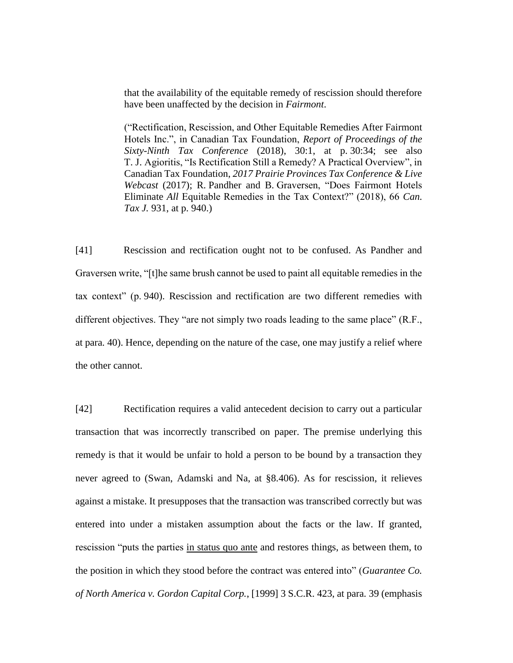that the availability of the equitable remedy of rescission should therefore have been unaffected by the decision in *Fairmont*.

("Rectification, Rescission, and Other Equitable Remedies After Fairmont Hotels Inc.", in Canadian Tax Foundation, *Report of Proceedings of the Sixty-Ninth Tax Conference* (2018), 30:1, at p. 30:34; see also T. J. Agioritis, "Is Rectification Still a Remedy? A Practical Overview", in Canadian Tax Foundation, *2017 Prairie Provinces Tax Conference & Live Webcast* (2017); R. Pandher and B. Graversen, "Does Fairmont Hotels Eliminate *All* Equitable Remedies in the Tax Context?" (2018), 66 *Can. Tax J.* 931, at p. 940.)

[41] Rescission and rectification ought not to be confused. As Pandher and Graversen write, "[t]he same brush cannot be used to paint all equitable remedies in the tax context" (p. 940). Rescission and rectification are two different remedies with different objectives. They "are not simply two roads leading to the same place" (R.F., at para. 40). Hence, depending on the nature of the case, one may justify a relief where the other cannot.

[42] Rectification requires a valid antecedent decision to carry out a particular transaction that was incorrectly transcribed on paper. The premise underlying this remedy is that it would be unfair to hold a person to be bound by a transaction they never agreed to (Swan, Adamski and Na, at §8.406). As for rescission, it relieves against a mistake. It presupposes that the transaction was transcribed correctly but was entered into under a mistaken assumption about the facts or the law. If granted, rescission "puts the parties in status quo ante and restores things, as between them, to the position in which they stood before the contract was entered into" (*Guarantee Co. of North America v. Gordon Capital Corp.*, [1999] 3 S.C.R. 423, at para. 39 (emphasis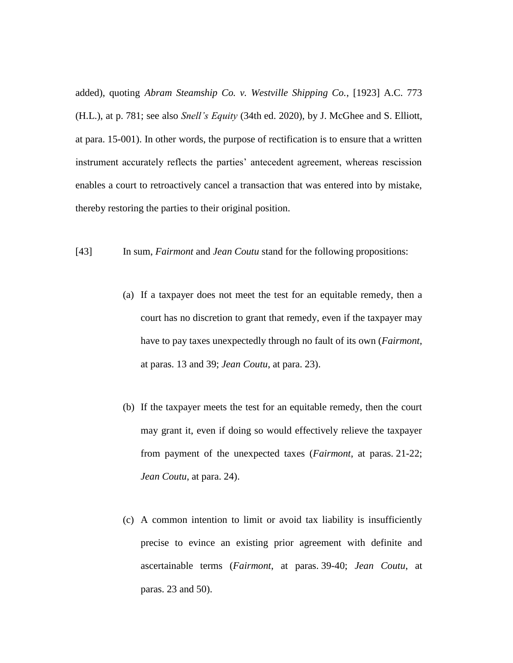added), quoting *Abram Steamship Co. v. Westville Shipping Co.*, [1923] A.C. 773 (H.L.), at p. 781; see also *Snell's Equity* (34th ed. 2020), by J. McGhee and S. Elliott, at para. 15-001). In other words, the purpose of rectification is to ensure that a written instrument accurately reflects the parties' antecedent agreement, whereas rescission enables a court to retroactively cancel a transaction that was entered into by mistake, thereby restoring the parties to their original position.

[43] In sum, *Fairmont* and *Jean Coutu* stand for the following propositions:

- (a) If a taxpayer does not meet the test for an equitable remedy, then a court has no discretion to grant that remedy, even if the taxpayer may have to pay taxes unexpectedly through no fault of its own (*Fairmont*, at paras. 13 and 39; *Jean Coutu*, at para. 23).
- (b) If the taxpayer meets the test for an equitable remedy, then the court may grant it, even if doing so would effectively relieve the taxpayer from payment of the unexpected taxes (*Fairmont*, at paras. 21-22; *Jean Coutu*, at para. 24).
- (c) A common intention to limit or avoid tax liability is insufficiently precise to evince an existing prior agreement with definite and ascertainable terms (*Fairmont*, at paras. 39-40; *Jean Coutu*, at paras. 23 and 50).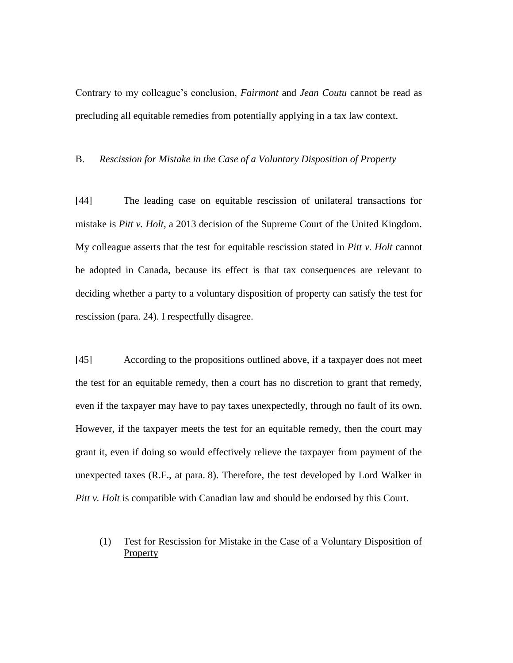Contrary to my colleague's conclusion, *Fairmont* and *Jean Coutu* cannot be read as precluding all equitable remedies from potentially applying in a tax law context.

#### B. *Rescission for Mistake in the Case of a Voluntary Disposition of Property*

[44] The leading case on equitable rescission of unilateral transactions for mistake is *Pitt v. Holt*, a 2013 decision of the Supreme Court of the United Kingdom. My colleague asserts that the test for equitable rescission stated in *Pitt v. Holt* cannot be adopted in Canada, because its effect is that tax consequences are relevant to deciding whether a party to a voluntary disposition of property can satisfy the test for rescission (para. 24). I respectfully disagree.

[45] According to the propositions outlined above, if a taxpayer does not meet the test for an equitable remedy, then a court has no discretion to grant that remedy, even if the taxpayer may have to pay taxes unexpectedly, through no fault of its own. However, if the taxpayer meets the test for an equitable remedy, then the court may grant it, even if doing so would effectively relieve the taxpayer from payment of the unexpected taxes (R.F., at para. 8). Therefore, the test developed by Lord Walker in *Pitt v. Holt* is compatible with Canadian law and should be endorsed by this Court.

(1) Test for Rescission for Mistake in the Case of a Voluntary Disposition of **Property**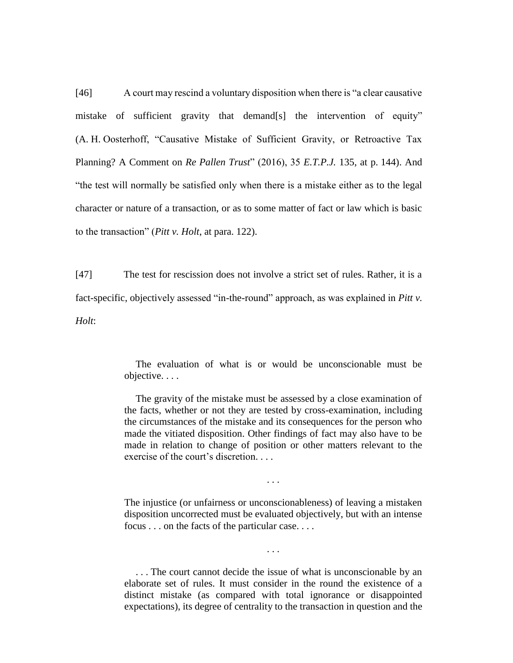[46] A court may rescind a voluntary disposition when there is "a clear causative mistake of sufficient gravity that demand[s] the intervention of equity" (A. H. Oosterhoff, "Causative Mistake of Sufficient Gravity, or Retroactive Tax Planning? A Comment on *Re Pallen Trust*" (2016), 35 *E.T.P.J.* 135, at p. 144). And "the test will normally be satisfied only when there is a mistake either as to the legal character or nature of a transaction, or as to some matter of fact or law which is basic to the transaction" (*Pitt v. Holt*, at para. 122).

[47] The test for rescission does not involve a strict set of rules. Rather, it is a fact-specific, objectively assessed "in-the-round" approach, as was explained in *Pitt v. Holt*:

> The evaluation of what is or would be unconscionable must be objective. . . .

> The gravity of the mistake must be assessed by a close examination of the facts, whether or not they are tested by cross-examination, including the circumstances of the mistake and its consequences for the person who made the vitiated disposition. Other findings of fact may also have to be made in relation to change of position or other matters relevant to the exercise of the court's discretion. . . .

> The injustice (or unfairness or unconscionableness) of leaving a mistaken disposition uncorrected must be evaluated objectively, but with an intense focus . . . on the facts of the particular case. . . .

> > . . .

. . .

. . . The court cannot decide the issue of what is unconscionable by an elaborate set of rules. It must consider in the round the existence of a distinct mistake (as compared with total ignorance or disappointed expectations), its degree of centrality to the transaction in question and the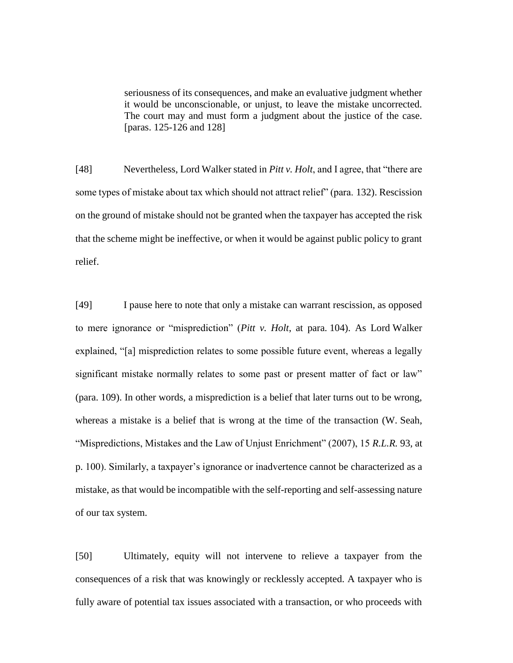seriousness of its consequences, and make an evaluative judgment whether it would be unconscionable, or unjust, to leave the mistake uncorrected. The court may and must form a judgment about the justice of the case. [paras. 125-126 and 128]

[48] Nevertheless, Lord Walker stated in *Pitt v. Holt*, and I agree, that "there are some types of mistake about tax which should not attract relief" (para. 132). Rescission on the ground of mistake should not be granted when the taxpayer has accepted the risk that the scheme might be ineffective, or when it would be against public policy to grant relief.

[49] I pause here to note that only a mistake can warrant rescission, as opposed to mere ignorance or "misprediction" (*Pitt v. Holt*, at para. 104). As Lord Walker explained, "[a] misprediction relates to some possible future event, whereas a legally significant mistake normally relates to some past or present matter of fact or law" (para. 109). In other words, a misprediction is a belief that later turns out to be wrong, whereas a mistake is a belief that is wrong at the time of the transaction (W. Seah, "Mispredictions, Mistakes and the Law of Unjust Enrichment" (2007), 15 *R.L.R.* 93, at p. 100). Similarly, a taxpayer's ignorance or inadvertence cannot be characterized as a mistake, as that would be incompatible with the self-reporting and self-assessing nature of our tax system.

[50] Ultimately, equity will not intervene to relieve a taxpayer from the consequences of a risk that was knowingly or recklessly accepted. A taxpayer who is fully aware of potential tax issues associated with a transaction, or who proceeds with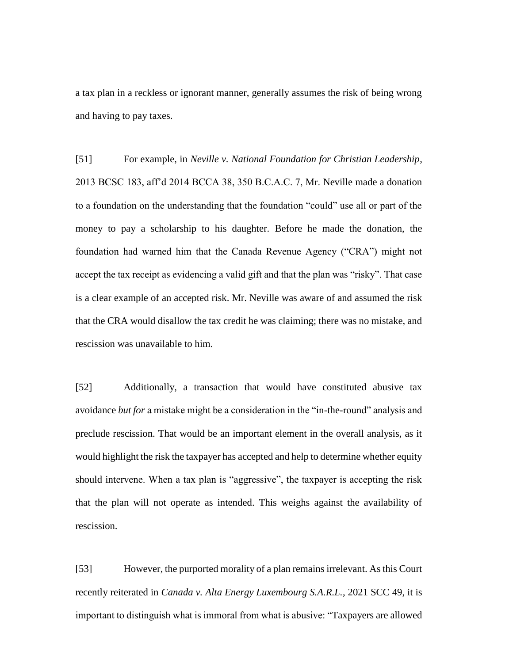a tax plan in a reckless or ignorant manner, generally assumes the risk of being wrong and having to pay taxes.

[51] For example, in *Neville v. National Foundation for Christian Leadership*, 2013 BCSC 183, aff'd 2014 BCCA 38, 350 B.C.A.C. 7, Mr. Neville made a donation to a foundation on the understanding that the foundation "could" use all or part of the money to pay a scholarship to his daughter. Before he made the donation, the foundation had warned him that the Canada Revenue Agency ("CRA") might not accept the tax receipt as evidencing a valid gift and that the plan was "risky". That case is a clear example of an accepted risk. Mr. Neville was aware of and assumed the risk that the CRA would disallow the tax credit he was claiming; there was no mistake, and rescission was unavailable to him.

[52] Additionally, a transaction that would have constituted abusive tax avoidance *but for* a mistake might be a consideration in the "in-the-round" analysis and preclude rescission. That would be an important element in the overall analysis, as it would highlight the risk the taxpayer has accepted and help to determine whether equity should intervene. When a tax plan is "aggressive", the taxpayer is accepting the risk that the plan will not operate as intended. This weighs against the availability of rescission.

[53] However, the purported morality of a plan remains irrelevant. As this Court recently reiterated in *Canada v. Alta Energy Luxembourg S.A.R.L.*, 2021 SCC 49, it is important to distinguish what is immoral from what is abusive: "Taxpayers are allowed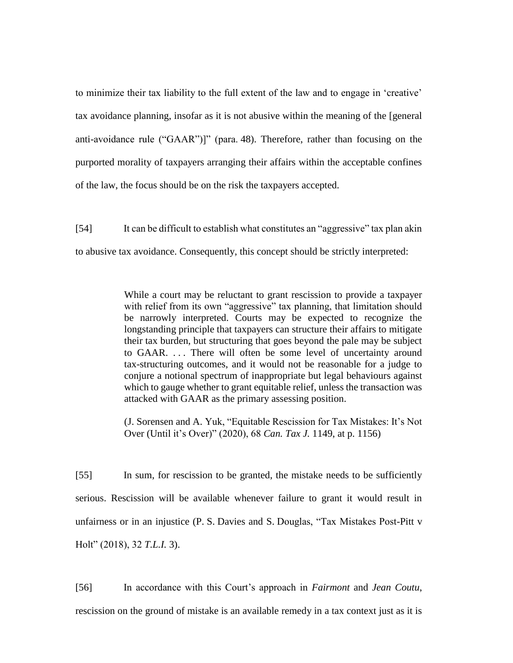to minimize their tax liability to the full extent of the law and to engage in 'creative' tax avoidance planning, insofar as it is not abusive within the meaning of the [general anti-avoidance rule ("GAAR")]" (para. 48). Therefore, rather than focusing on the purported morality of taxpayers arranging their affairs within the acceptable confines of the law, the focus should be on the risk the taxpayers accepted.

[54] It can be difficult to establish what constitutes an "aggressive" tax plan akin to abusive tax avoidance. Consequently, this concept should be strictly interpreted:

> While a court may be reluctant to grant rescission to provide a taxpayer with relief from its own "aggressive" tax planning, that limitation should be narrowly interpreted. Courts may be expected to recognize the longstanding principle that taxpayers can structure their affairs to mitigate their tax burden, but structuring that goes beyond the pale may be subject to GAAR. . . . There will often be some level of uncertainty around tax-structuring outcomes, and it would not be reasonable for a judge to conjure a notional spectrum of inappropriate but legal behaviours against which to gauge whether to grant equitable relief, unless the transaction was attacked with GAAR as the primary assessing position.

> (J. Sorensen and A. Yuk, "Equitable Rescission for Tax Mistakes: It's Not Over (Until it's Over)" (2020), 68 *Can. Tax J.* 1149, at p. 1156)

[55] In sum, for rescission to be granted, the mistake needs to be sufficiently serious. Rescission will be available whenever failure to grant it would result in unfairness or in an injustice (P. S. Davies and S. Douglas, "Tax Mistakes Post-Pitt v Holt" (2018), 32 *T.L.I.* 3).

[56] In accordance with this Court's approach in *Fairmont* and *Jean Coutu*, rescission on the ground of mistake is an available remedy in a tax context just as it is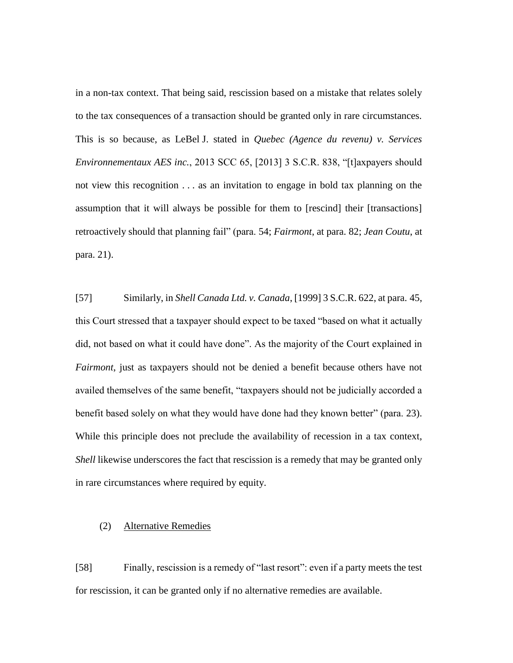in a non-tax context. That being said, rescission based on a mistake that relates solely to the tax consequences of a transaction should be granted only in rare circumstances. This is so because, as LeBel J. stated in *Quebec (Agence du revenu) v. Services Environnementaux AES inc.*, 2013 SCC 65, [2013] 3 S.C.R. 838, "[t]axpayers should not view this recognition . . . as an invitation to engage in bold tax planning on the assumption that it will always be possible for them to [rescind] their [transactions] retroactively should that planning fail" (para. 54; *Fairmont*, at para. 82; *Jean Coutu*, at para. 21).

[57] Similarly, in *Shell Canada Ltd. v. Canada*, [1999] 3 S.C.R. 622, at para. 45, this Court stressed that a taxpayer should expect to be taxed "based on what it actually did, not based on what it could have done". As the majority of the Court explained in *Fairmont*, just as taxpayers should not be denied a benefit because others have not availed themselves of the same benefit, "taxpayers should not be judicially accorded a benefit based solely on what they would have done had they known better" (para. 23). While this principle does not preclude the availability of recession in a tax context, *Shell* likewise underscores the fact that rescission is a remedy that may be granted only in rare circumstances where required by equity.

#### (2) Alternative Remedies

[58] Finally, rescission is a remedy of "last resort": even if a party meets the test for rescission, it can be granted only if no alternative remedies are available.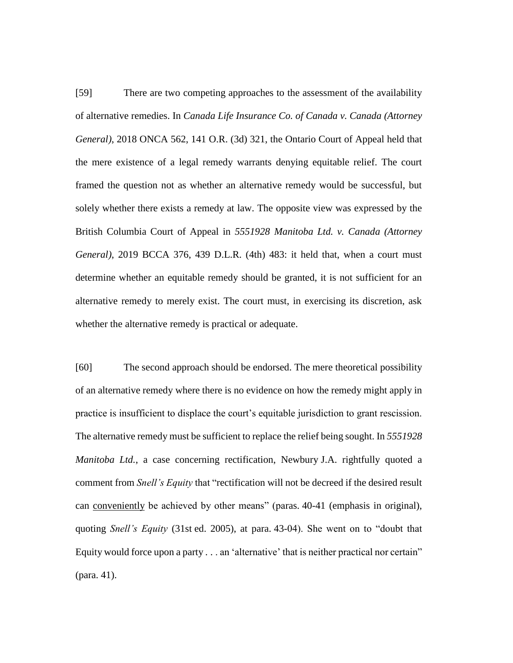[59] There are two competing approaches to the assessment of the availability of alternative remedies. In *Canada Life Insurance Co. of Canada v. Canada (Attorney General)*, 2018 ONCA 562, 141 O.R. (3d) 321, the Ontario Court of Appeal held that the mere existence of a legal remedy warrants denying equitable relief. The court framed the question not as whether an alternative remedy would be successful, but solely whether there exists a remedy at law. The opposite view was expressed by the British Columbia Court of Appeal in *5551928 Manitoba Ltd. v. Canada (Attorney General)*, 2019 BCCA 376, 439 D.L.R. (4th) 483: it held that, when a court must determine whether an equitable remedy should be granted, it is not sufficient for an alternative remedy to merely exist. The court must, in exercising its discretion, ask whether the alternative remedy is practical or adequate.

[60] The second approach should be endorsed. The mere theoretical possibility of an alternative remedy where there is no evidence on how the remedy might apply in practice is insufficient to displace the court's equitable jurisdiction to grant rescission. The alternative remedy must be sufficient to replace the relief being sought. In *5551928 Manitoba Ltd.*, a case concerning rectification, Newbury J.A. rightfully quoted a comment from *Snell's Equity* that "rectification will not be decreed if the desired result can conveniently be achieved by other means" (paras. 40-41 (emphasis in original), quoting *Snell's Equity* (31st ed. 2005), at para. 43-04). She went on to "doubt that Equity would force upon a party . . . an 'alternative' that is neither practical nor certain" (para. 41).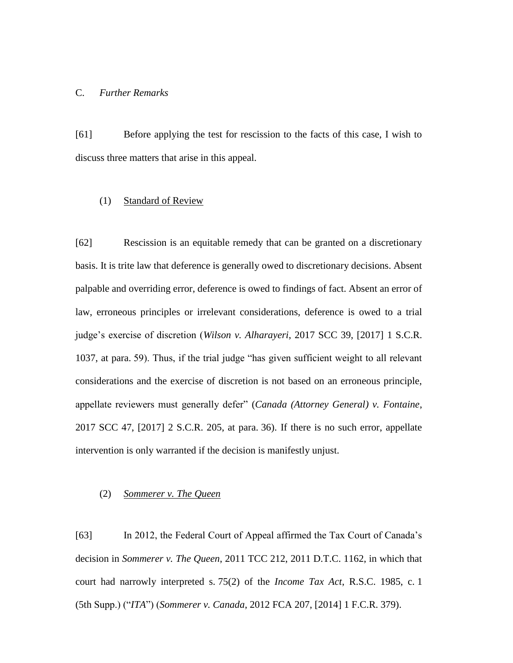### C. *Further Remarks*

[61] Before applying the test for rescission to the facts of this case, I wish to discuss three matters that arise in this appeal.

### (1) Standard of Review

[62] Rescission is an equitable remedy that can be granted on a discretionary basis. It is trite law that deference is generally owed to discretionary decisions. Absent palpable and overriding error, deference is owed to findings of fact. Absent an error of law, erroneous principles or irrelevant considerations, deference is owed to a trial judge's exercise of discretion (*Wilson v. Alharayeri*, 2017 SCC 39, [2017] 1 S.C.R. 1037, at para. 59). Thus, if the trial judge "has given sufficient weight to all relevant considerations and the exercise of discretion is not based on an erroneous principle, appellate reviewers must generally defer" (*Canada (Attorney General) v. Fontaine*, 2017 SCC 47, [2017] 2 S.C.R. 205, at para. 36). If there is no such error, appellate intervention is only warranted if the decision is manifestly unjust.

#### (2) *Sommerer v. The Queen*

[63] In 2012, the Federal Court of Appeal affirmed the Tax Court of Canada's decision in *Sommerer v. The Queen*, 2011 TCC 212, 2011 D.T.C. 1162, in which that court had narrowly interpreted s. 75(2) of the *Income Tax Act*, R.S.C. 1985, c. 1 (5th Supp.) ("*ITA*") (*Sommerer v. Canada*, 2012 FCA 207, [2014] 1 F.C.R. 379).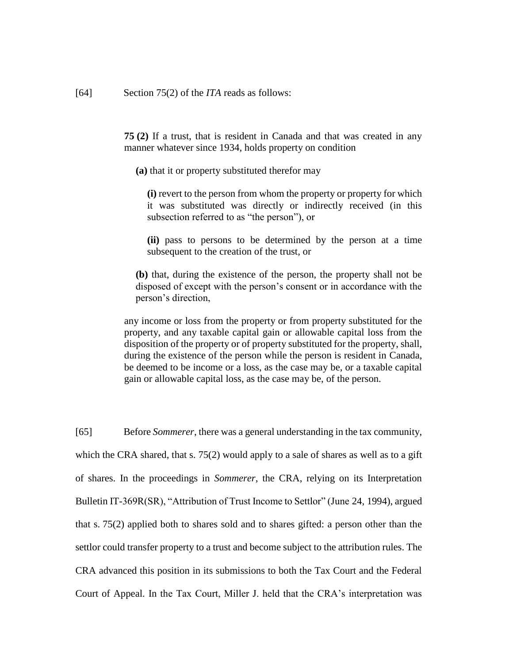**75 (2)** If a trust, that is resident in Canada and that was created in any manner whatever since 1934, holds property on condition

**(a)** that it or property substituted therefor may

**(i)** revert to the person from whom the property or property for which it was substituted was directly or indirectly received (in this subsection referred to as "the person"), or

**(ii)** pass to persons to be determined by the person at a time subsequent to the creation of the trust, or

**(b)** that, during the existence of the person, the property shall not be disposed of except with the person's consent or in accordance with the person's direction,

any income or loss from the property or from property substituted for the property, and any taxable capital gain or allowable capital loss from the disposition of the property or of property substituted for the property, shall, during the existence of the person while the person is resident in Canada, be deemed to be income or a loss, as the case may be, or a taxable capital gain or allowable capital loss, as the case may be, of the person.

[65] Before *Sommerer*, there was a general understanding in the tax community, which the CRA shared, that s. 75(2) would apply to a sale of shares as well as to a gift of shares. In the proceedings in *Sommerer*, the CRA, relying on its Interpretation Bulletin IT-369R(SR), "Attribution of Trust Income to Settlor" (June 24, 1994), argued that s. 75(2) applied both to shares sold and to shares gifted: a person other than the settlor could transfer property to a trust and become subject to the attribution rules. The CRA advanced this position in its submissions to both the Tax Court and the Federal Court of Appeal. In the Tax Court, Miller J. held that the CRA's interpretation was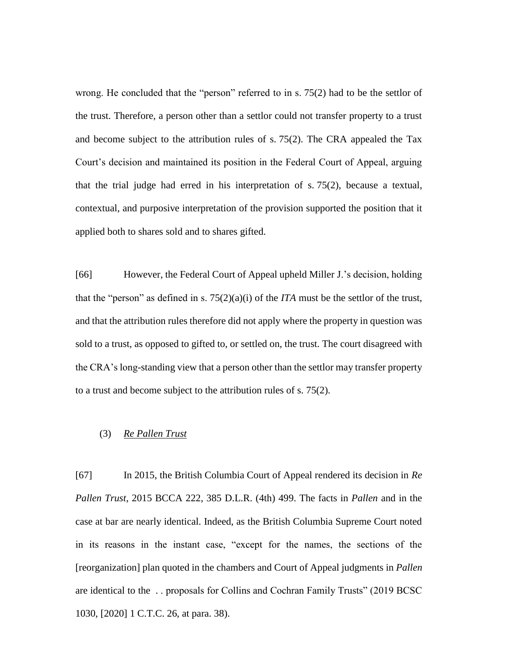wrong. He concluded that the "person" referred to in s. 75(2) had to be the settlor of the trust. Therefore, a person other than a settlor could not transfer property to a trust and become subject to the attribution rules of s. 75(2). The CRA appealed the Tax Court's decision and maintained its position in the Federal Court of Appeal, arguing that the trial judge had erred in his interpretation of s. 75(2), because a textual, contextual, and purposive interpretation of the provision supported the position that it applied both to shares sold and to shares gifted.

[66] However, the Federal Court of Appeal upheld Miller J.'s decision, holding that the "person" as defined in s.  $75(2)(a)(i)$  of the *ITA* must be the settlor of the trust, and that the attribution rules therefore did not apply where the property in question was sold to a trust, as opposed to gifted to, or settled on, the trust. The court disagreed with the CRA's long-standing view that a person other than the settlor may transfer property to a trust and become subject to the attribution rules of s. 75(2).

### (3) *Re Pallen Trust*

[67] In 2015, the British Columbia Court of Appeal rendered its decision in *Re Pallen Trust*, 2015 BCCA 222, 385 D.L.R. (4th) 499. The facts in *Pallen* and in the case at bar are nearly identical. Indeed, as the British Columbia Supreme Court noted in its reasons in the instant case, "except for the names, the sections of the [reorganization] plan quoted in the chambers and Court of Appeal judgments in *Pallen* are identical to the . . proposals for Collins and Cochran Family Trusts" (2019 BCSC 1030, [2020] 1 C.T.C. 26, at para. 38).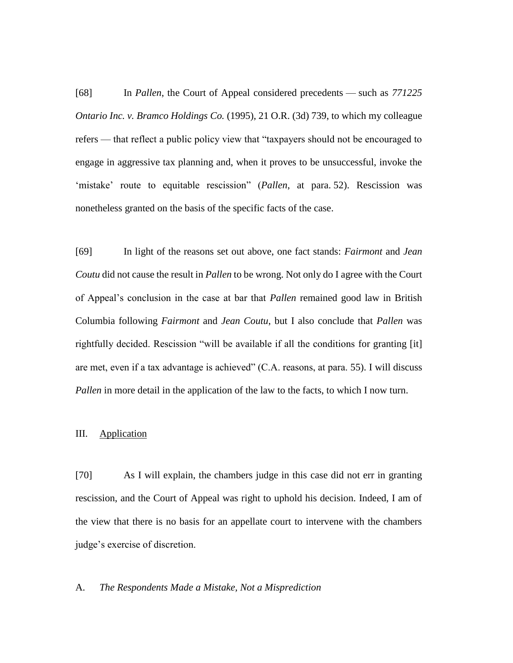[68] In *Pallen*, the Court of Appeal considered precedents — such as *771225 Ontario Inc. v. Bramco Holdings Co.* (1995), 21 O.R. (3d) 739, to which my colleague refers — that reflect a public policy view that "taxpayers should not be encouraged to engage in aggressive tax planning and, when it proves to be unsuccessful, invoke the 'mistake' route to equitable rescission" (*Pallen*, at para. 52). Rescission was nonetheless granted on the basis of the specific facts of the case.

[69] In light of the reasons set out above, one fact stands: *Fairmont* and *Jean Coutu* did not cause the result in *Pallen* to be wrong. Not only do I agree with the Court of Appeal's conclusion in the case at bar that *Pallen* remained good law in British Columbia following *Fairmont* and *Jean Coutu*, but I also conclude that *Pallen* was rightfully decided. Rescission "will be available if all the conditions for granting [it] are met, even if a tax advantage is achieved" (C.A. reasons, at para. 55). I will discuss *Pallen* in more detail in the application of the law to the facts, to which I now turn.

#### III. Application

[70] As I will explain, the chambers judge in this case did not err in granting rescission, and the Court of Appeal was right to uphold his decision. Indeed, I am of the view that there is no basis for an appellate court to intervene with the chambers judge's exercise of discretion.

#### A. *The Respondents Made a Mistake, Not a Misprediction*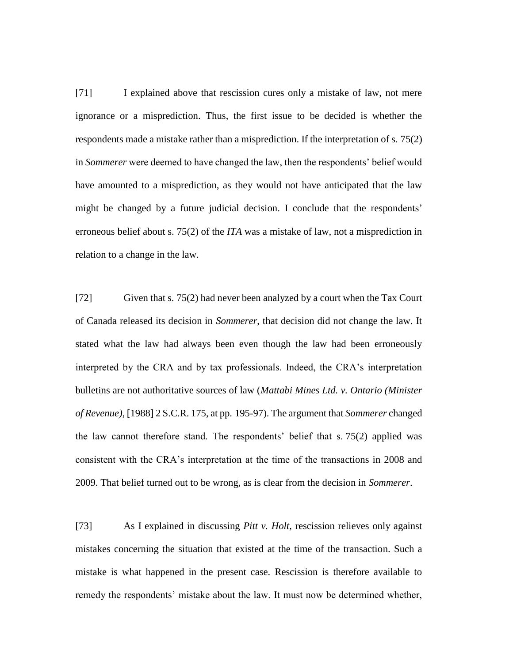[71] I explained above that rescission cures only a mistake of law, not mere ignorance or a misprediction. Thus, the first issue to be decided is whether the respondents made a mistake rather than a misprediction. If the interpretation of s. 75(2) in *Sommerer* were deemed to have changed the law, then the respondents' belief would have amounted to a misprediction, as they would not have anticipated that the law might be changed by a future judicial decision. I conclude that the respondents' erroneous belief about s. 75(2) of the *ITA* was a mistake of law, not a misprediction in relation to a change in the law.

[72] Given that s. 75(2) had never been analyzed by a court when the Tax Court of Canada released its decision in *Sommerer*, that decision did not change the law. It stated what the law had always been even though the law had been erroneously interpreted by the CRA and by tax professionals. Indeed, the CRA's interpretation bulletins are not authoritative sources of law (*Mattabi Mines Ltd. v. Ontario (Minister of Revenue)*, [1988] 2 S.C.R. 175, at pp. 195-97). The argument that *Sommerer* changed the law cannot therefore stand. The respondents' belief that s. 75(2) applied was consistent with the CRA's interpretation at the time of the transactions in 2008 and 2009. That belief turned out to be wrong, as is clear from the decision in *Sommerer*.

[73] As I explained in discussing *Pitt v. Holt*, rescission relieves only against mistakes concerning the situation that existed at the time of the transaction. Such a mistake is what happened in the present case. Rescission is therefore available to remedy the respondents' mistake about the law. It must now be determined whether,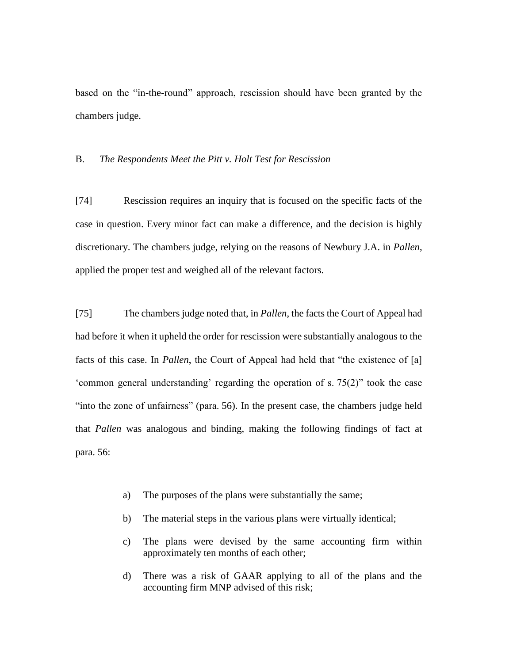based on the "in-the-round" approach, rescission should have been granted by the chambers judge.

#### B. *The Respondents Meet the Pitt v. Holt Test for Rescission*

[74] Rescission requires an inquiry that is focused on the specific facts of the case in question. Every minor fact can make a difference, and the decision is highly discretionary. The chambers judge, relying on the reasons of Newbury J.A. in *Pallen*, applied the proper test and weighed all of the relevant factors.

[75] The chambers judge noted that, in *Pallen*, the facts the Court of Appeal had had before it when it upheld the order for rescission were substantially analogous to the facts of this case. In *Pallen*, the Court of Appeal had held that "the existence of [a] 'common general understanding' regarding the operation of s. 75(2)" took the case "into the zone of unfairness" (para. 56). In the present case, the chambers judge held that *Pallen* was analogous and binding, making the following findings of fact at para. 56:

- a) The purposes of the plans were substantially the same;
- b) The material steps in the various plans were virtually identical;
- c) The plans were devised by the same accounting firm within approximately ten months of each other;
- d) There was a risk of GAAR applying to all of the plans and the accounting firm MNP advised of this risk;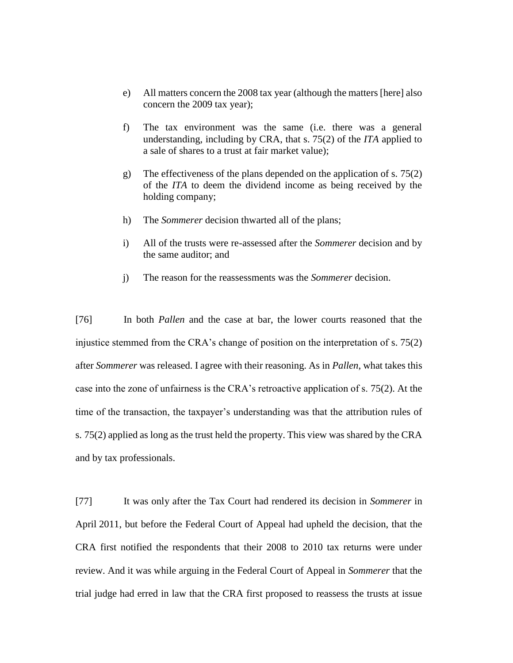- e) All matters concern the 2008 tax year (although the matters [here] also concern the 2009 tax year);
- f) The tax environment was the same (i.e. there was a general understanding, including by CRA, that s. 75(2) of the *ITA* applied to a sale of shares to a trust at fair market value);
- g) The effectiveness of the plans depended on the application of s. 75(2) of the *ITA* to deem the dividend income as being received by the holding company;
- h) The *Sommerer* decision thwarted all of the plans;
- i) All of the trusts were re-assessed after the *Sommerer* decision and by the same auditor; and
- j) The reason for the reassessments was the *Sommerer* decision.

[76] In both *Pallen* and the case at bar, the lower courts reasoned that the injustice stemmed from the CRA's change of position on the interpretation of s. 75(2) after *Sommerer* was released. I agree with their reasoning. As in *Pallen*, what takes this case into the zone of unfairness is the CRA's retroactive application of s. 75(2). At the time of the transaction, the taxpayer's understanding was that the attribution rules of s. 75(2) applied as long as the trust held the property. This view was shared by the CRA and by tax professionals.

[77] It was only after the Tax Court had rendered its decision in *Sommerer* in April 2011, but before the Federal Court of Appeal had upheld the decision, that the CRA first notified the respondents that their 2008 to 2010 tax returns were under review. And it was while arguing in the Federal Court of Appeal in *Sommerer* that the trial judge had erred in law that the CRA first proposed to reassess the trusts at issue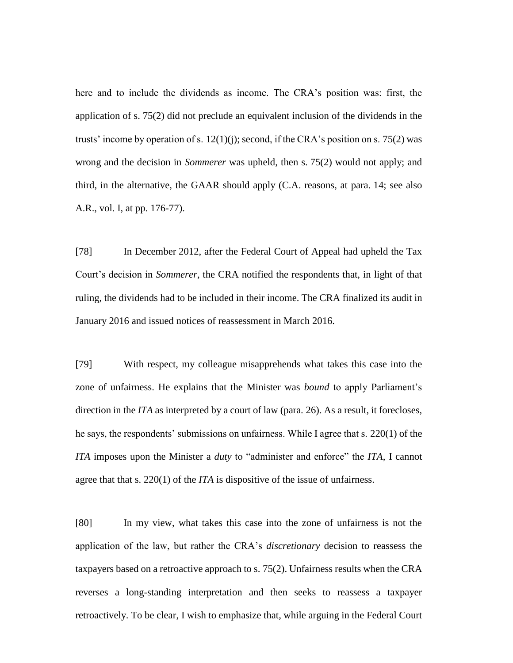here and to include the dividends as income. The CRA's position was: first, the application of s. 75(2) did not preclude an equivalent inclusion of the dividends in the trusts' income by operation of s.  $12(1)(i)$ ; second, if the CRA's position on s. 75(2) was wrong and the decision in *Sommerer* was upheld, then s. 75(2) would not apply; and third, in the alternative, the GAAR should apply (C.A. reasons, at para. 14; see also A.R., vol. I, at pp. 176-77).

[78] In December 2012, after the Federal Court of Appeal had upheld the Tax Court's decision in *Sommerer*, the CRA notified the respondents that, in light of that ruling, the dividends had to be included in their income. The CRA finalized its audit in January 2016 and issued notices of reassessment in March 2016.

[79] With respect, my colleague misapprehends what takes this case into the zone of unfairness. He explains that the Minister was *bound* to apply Parliament's direction in the *ITA* as interpreted by a court of law (para. 26). As a result, it forecloses, he says, the respondents' submissions on unfairness. While I agree that s. 220(1) of the *ITA* imposes upon the Minister a *duty* to "administer and enforce" the *ITA*, I cannot agree that that s. 220(1) of the *ITA* is dispositive of the issue of unfairness.

[80] In my view, what takes this case into the zone of unfairness is not the application of the law, but rather the CRA's *discretionary* decision to reassess the taxpayers based on a retroactive approach to s. 75(2). Unfairness results when the CRA reverses a long-standing interpretation and then seeks to reassess a taxpayer retroactively. To be clear, I wish to emphasize that, while arguing in the Federal Court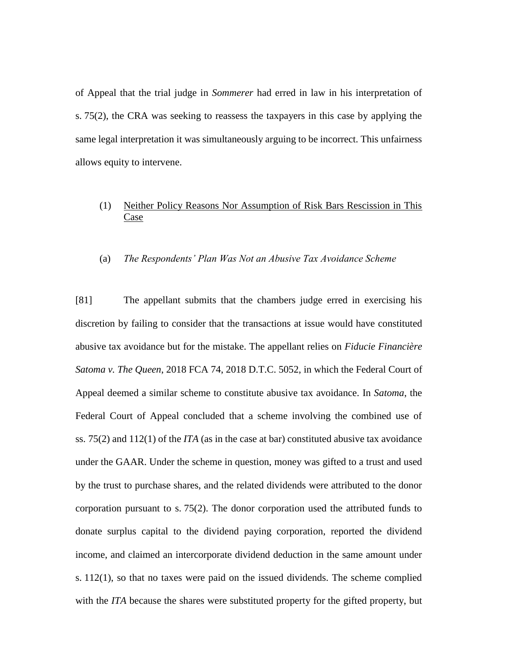of Appeal that the trial judge in *Sommerer* had erred in law in his interpretation of s. 75(2), the CRA was seeking to reassess the taxpayers in this case by applying the same legal interpretation it was simultaneously arguing to be incorrect. This unfairness allows equity to intervene.

# (1) Neither Policy Reasons Nor Assumption of Risk Bars Rescission in This Case

#### (a) *The Respondents' Plan Was Not an Abusive Tax Avoidance Scheme*

[81] The appellant submits that the chambers judge erred in exercising his discretion by failing to consider that the transactions at issue would have constituted abusive tax avoidance but for the mistake. The appellant relies on *Fiducie Financière Satoma v. The Queen*, 2018 FCA 74, 2018 D.T.C. 5052, in which the Federal Court of Appeal deemed a similar scheme to constitute abusive tax avoidance. In *Satoma*, the Federal Court of Appeal concluded that a scheme involving the combined use of ss. 75(2) and 112(1) of the *ITA* (as in the case at bar) constituted abusive tax avoidance under the GAAR. Under the scheme in question, money was gifted to a trust and used by the trust to purchase shares, and the related dividends were attributed to the donor corporation pursuant to s. 75(2). The donor corporation used the attributed funds to donate surplus capital to the dividend paying corporation, reported the dividend income, and claimed an intercorporate dividend deduction in the same amount under s. 112(1), so that no taxes were paid on the issued dividends. The scheme complied with the *ITA* because the shares were substituted property for the gifted property, but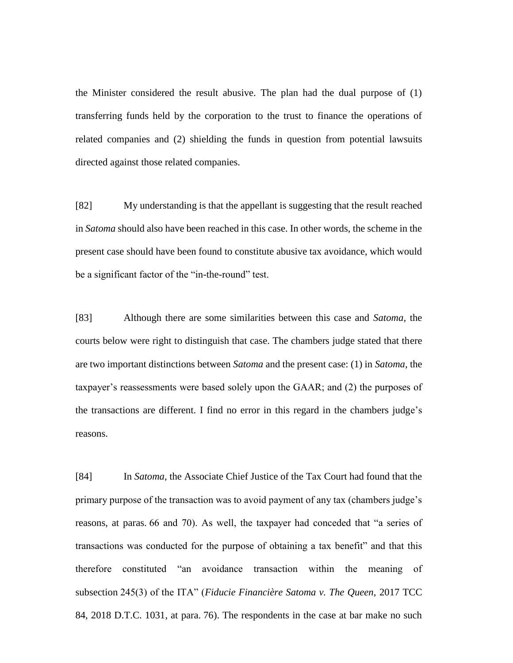the Minister considered the result abusive. The plan had the dual purpose of (1) transferring funds held by the corporation to the trust to finance the operations of related companies and (2) shielding the funds in question from potential lawsuits directed against those related companies.

[82] My understanding is that the appellant is suggesting that the result reached in *Satoma* should also have been reached in this case. In other words, the scheme in the present case should have been found to constitute abusive tax avoidance, which would be a significant factor of the "in-the-round" test.

[83] Although there are some similarities between this case and *Satoma*, the courts below were right to distinguish that case. The chambers judge stated that there are two important distinctions between *Satoma* and the present case: (1) in *Satoma*, the taxpayer's reassessments were based solely upon the GAAR; and (2) the purposes of the transactions are different. I find no error in this regard in the chambers judge's reasons.

[84] In *Satoma*, the Associate Chief Justice of the Tax Court had found that the primary purpose of the transaction was to avoid payment of any tax (chambers judge's reasons, at paras. 66 and 70). As well, the taxpayer had conceded that "a series of transactions was conducted for the purpose of obtaining a tax benefit" and that this therefore constituted "an avoidance transaction within the meaning of subsection 245(3) of the ITA" (*Fiducie Financière Satoma v. The Queen*, 2017 TCC 84, 2018 D.T.C. 1031, at para. 76). The respondents in the case at bar make no such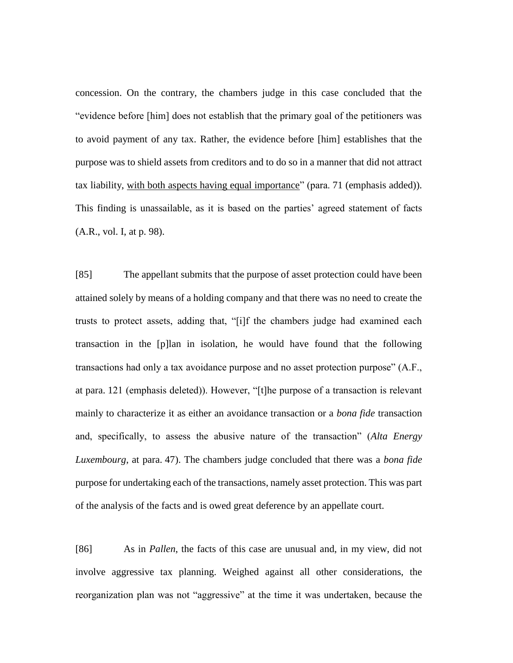concession. On the contrary, the chambers judge in this case concluded that the "evidence before [him] does not establish that the primary goal of the petitioners was to avoid payment of any tax. Rather, the evidence before [him] establishes that the purpose was to shield assets from creditors and to do so in a manner that did not attract tax liability, with both aspects having equal importance" (para. 71 (emphasis added)). This finding is unassailable, as it is based on the parties' agreed statement of facts (A.R., vol. I, at p. 98).

[85] The appellant submits that the purpose of asset protection could have been attained solely by means of a holding company and that there was no need to create the trusts to protect assets, adding that, "[i]f the chambers judge had examined each transaction in the [p]lan in isolation, he would have found that the following transactions had only a tax avoidance purpose and no asset protection purpose" (A.F., at para. 121 (emphasis deleted)). However, "[t]he purpose of a transaction is relevant mainly to characterize it as either an avoidance transaction or a *bona fide* transaction and, specifically, to assess the abusive nature of the transaction" (*Alta Energy Luxembourg*, at para. 47). The chambers judge concluded that there was a *bona fide* purpose for undertaking each of the transactions, namely asset protection. This was part of the analysis of the facts and is owed great deference by an appellate court.

[86] As in *Pallen*, the facts of this case are unusual and, in my view, did not involve aggressive tax planning. Weighed against all other considerations, the reorganization plan was not "aggressive" at the time it was undertaken, because the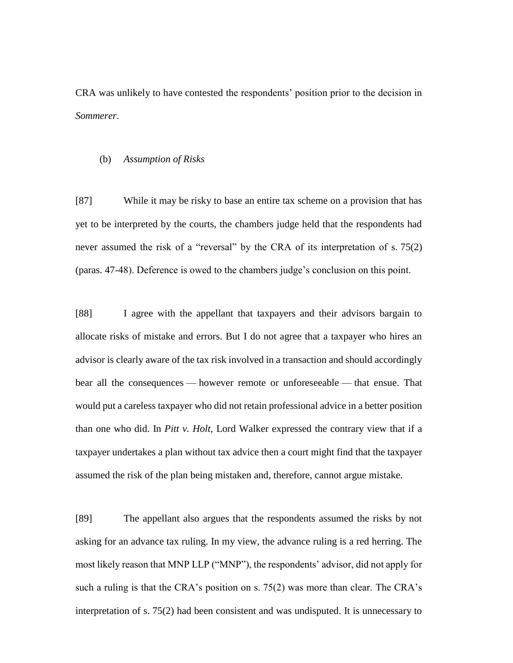CRA was unlikely to have contested the respondents' position prior to the decision in *Sommerer*.

#### (b) *Assumption of Risks*

[87] While it may be risky to base an entire tax scheme on a provision that has yet to be interpreted by the courts, the chambers judge held that the respondents had never assumed the risk of a "reversal" by the CRA of its interpretation of s. 75(2) (paras. 47-48). Deference is owed to the chambers judge's conclusion on this point.

[88] I agree with the appellant that taxpayers and their advisors bargain to allocate risks of mistake and errors. But I do not agree that a taxpayer who hires an advisor is clearly aware of the tax risk involved in a transaction and should accordingly bear all the consequences — however remote or unforeseeable — that ensue. That would put a careless taxpayer who did not retain professional advice in a better position than one who did. In *Pitt v. Holt*, Lord Walker expressed the contrary view that if a taxpayer undertakes a plan without tax advice then a court might find that the taxpayer assumed the risk of the plan being mistaken and, therefore, cannot argue mistake.

[89] The appellant also argues that the respondents assumed the risks by not asking for an advance tax ruling. In my view, the advance ruling is a red herring. The most likely reason that MNP LLP ("MNP"), the respondents' advisor, did not apply for such a ruling is that the CRA's position on s. 75(2) was more than clear. The CRA's interpretation of s. 75(2) had been consistent and was undisputed. It is unnecessary to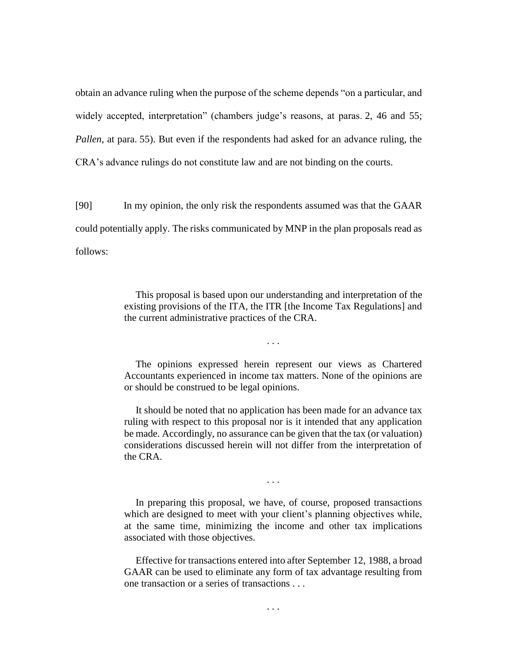obtain an advance ruling when the purpose of the scheme depends "on a particular, and widely accepted, interpretation" (chambers judge's reasons, at paras. 2, 46 and 55; *Pallen*, at para. 55). But even if the respondents had asked for an advance ruling, the CRA's advance rulings do not constitute law and are not binding on the courts.

[90] In my opinion, the only risk the respondents assumed was that the GAAR could potentially apply. The risks communicated by MNP in the plan proposals read as follows:

> This proposal is based upon our understanding and interpretation of the existing provisions of the ITA, the ITR [the Income Tax Regulations] and the current administrative practices of the CRA.

> > . . .

The opinions expressed herein represent our views as Chartered Accountants experienced in income tax matters. None of the opinions are or should be construed to be legal opinions.

It should be noted that no application has been made for an advance tax ruling with respect to this proposal nor is it intended that any application be made. Accordingly, no assurance can be given that the tax (or valuation) considerations discussed herein will not differ from the interpretation of the CRA.

. . .

In preparing this proposal, we have, of course, proposed transactions which are designed to meet with your client's planning objectives while, at the same time, minimizing the income and other tax implications associated with those objectives.

Effective for transactions entered into after September 12, 1988, a broad GAAR can be used to eliminate any form of tax advantage resulting from one transaction or a series of transactions . . .

. . .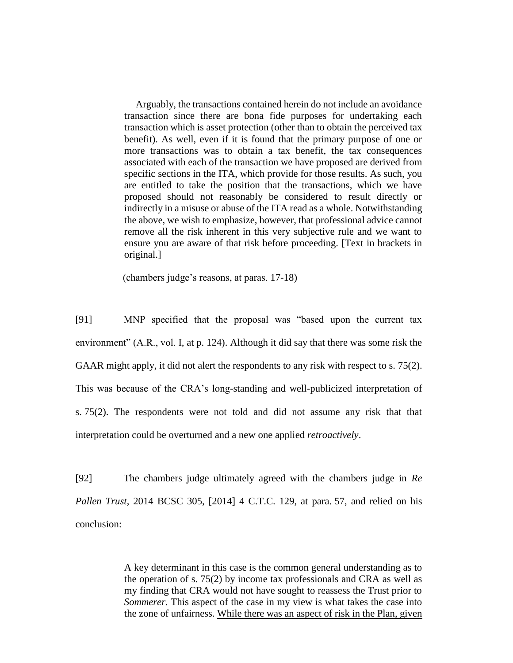Arguably, the transactions contained herein do not include an avoidance transaction since there are bona fide purposes for undertaking each transaction which is asset protection (other than to obtain the perceived tax benefit). As well, even if it is found that the primary purpose of one or more transactions was to obtain a tax benefit, the tax consequences associated with each of the transaction we have proposed are derived from specific sections in the ITA, which provide for those results. As such, you are entitled to take the position that the transactions, which we have proposed should not reasonably be considered to result directly or indirectly in a misuse or abuse of the ITA read as a whole. Notwithstanding the above, we wish to emphasize, however, that professional advice cannot remove all the risk inherent in this very subjective rule and we want to ensure you are aware of that risk before proceeding. [Text in brackets in original.]

(chambers judge's reasons, at paras. 17-18)

[91] MNP specified that the proposal was "based upon the current tax environment" (A.R., vol. I, at p. 124). Although it did say that there was some risk the GAAR might apply, it did not alert the respondents to any risk with respect to s. 75(2). This was because of the CRA's long-standing and well-publicized interpretation of s. 75(2). The respondents were not told and did not assume any risk that that interpretation could be overturned and a new one applied *retroactively*.

[92] The chambers judge ultimately agreed with the chambers judge in *Re Pallen Trust*, 2014 BCSC 305, [2014] 4 C.T.C. 129, at para. 57, and relied on his conclusion:

> A key determinant in this case is the common general understanding as to the operation of s. 75(2) by income tax professionals and CRA as well as my finding that CRA would not have sought to reassess the Trust prior to *Sommerer*. This aspect of the case in my view is what takes the case into the zone of unfairness. While there was an aspect of risk in the Plan, given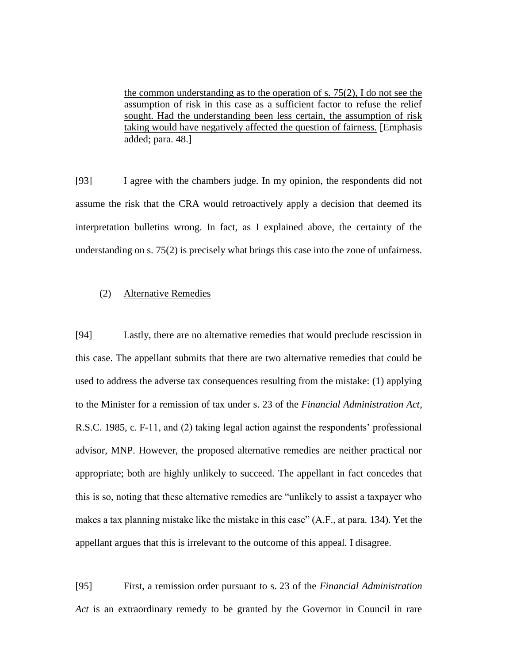the common understanding as to the operation of s. 75(2), I do not see the assumption of risk in this case as a sufficient factor to refuse the relief sought. Had the understanding been less certain, the assumption of risk taking would have negatively affected the question of fairness. [Emphasis added; para. 48.]

[93] I agree with the chambers judge. In my opinion, the respondents did not assume the risk that the CRA would retroactively apply a decision that deemed its interpretation bulletins wrong. In fact, as I explained above, the certainty of the understanding on s. 75(2) is precisely what brings this case into the zone of unfairness.

### (2) Alternative Remedies

[94] Lastly, there are no alternative remedies that would preclude rescission in this case. The appellant submits that there are two alternative remedies that could be used to address the adverse tax consequences resulting from the mistake: (1) applying to the Minister for a remission of tax under s. 23 of the *Financial Administration Act*, R.S.C. 1985, c. F-11, and (2) taking legal action against the respondents' professional advisor, MNP. However, the proposed alternative remedies are neither practical nor appropriate; both are highly unlikely to succeed. The appellant in fact concedes that this is so, noting that these alternative remedies are "unlikely to assist a taxpayer who makes a tax planning mistake like the mistake in this case" (A.F., at para. 134). Yet the appellant argues that this is irrelevant to the outcome of this appeal. I disagree.

[95] First, a remission order pursuant to s. 23 of the *Financial Administration Act* is an extraordinary remedy to be granted by the Governor in Council in rare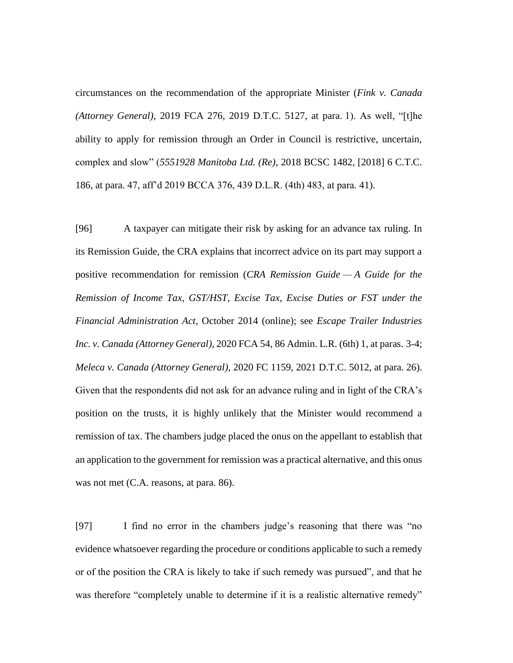circumstances on the recommendation of the appropriate Minister (*Fink v. Canada (Attorney General)*, 2019 FCA 276, 2019 D.T.C. 5127, at para. 1). As well, "[t]he ability to apply for remission through an Order in Council is restrictive, uncertain, complex and slow" (*5551928 Manitoba Ltd. (Re)*, 2018 BCSC 1482, [2018] 6 C.T.C. 186, at para. 47, aff'd 2019 BCCA 376, 439 D.L.R. (4th) 483, at para. 41).

[96] A taxpayer can mitigate their risk by asking for an advance tax ruling. In its Remission Guide, the CRA explains that incorrect advice on its part may support a positive recommendation for remission (*CRA Remission Guide — A Guide for the Remission of Income Tax, GST/HST, Excise Tax, Excise Duties or FST under the Financial Administration Act*, October 2014 (online); see *Escape Trailer Industries Inc. v. Canada (Attorney General)*, 2020 FCA 54, 86 Admin. L.R. (6th) 1, at paras. 3-4; *Meleca v. Canada (Attorney General)*, 2020 FC 1159, 2021 D.T.C. 5012, at para. 26). Given that the respondents did not ask for an advance ruling and in light of the CRA's position on the trusts, it is highly unlikely that the Minister would recommend a remission of tax. The chambers judge placed the onus on the appellant to establish that an application to the government for remission was a practical alternative, and this onus was not met (C.A. reasons, at para. 86).

[97] I find no error in the chambers judge's reasoning that there was "no evidence whatsoever regarding the procedure or conditions applicable to such a remedy or of the position the CRA is likely to take if such remedy was pursued", and that he was therefore "completely unable to determine if it is a realistic alternative remedy"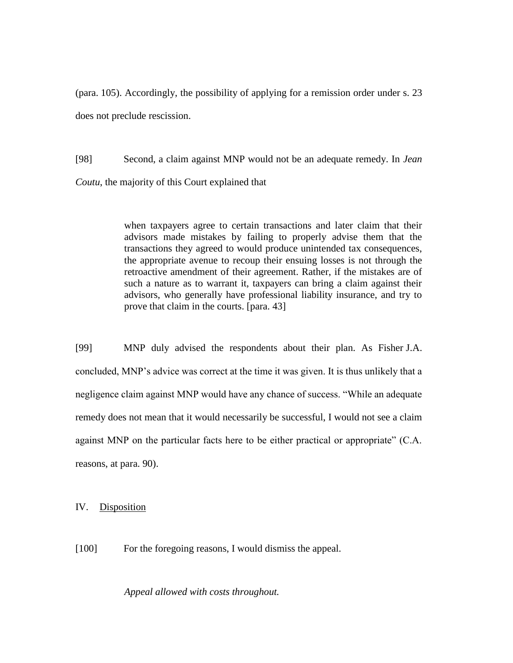(para. 105). Accordingly, the possibility of applying for a remission order under s. 23 does not preclude rescission.

[98] Second, a claim against MNP would not be an adequate remedy. In *Jean Coutu*, the majority of this Court explained that

> when taxpayers agree to certain transactions and later claim that their advisors made mistakes by failing to properly advise them that the transactions they agreed to would produce unintended tax consequences, the appropriate avenue to recoup their ensuing losses is not through the retroactive amendment of their agreement. Rather, if the mistakes are of such a nature as to warrant it, taxpayers can bring a claim against their advisors, who generally have professional liability insurance, and try to prove that claim in the courts. [para. 43]

[99] MNP duly advised the respondents about their plan. As Fisher J.A. concluded, MNP's advice was correct at the time it was given. It is thus unlikely that a negligence claim against MNP would have any chance of success. "While an adequate remedy does not mean that it would necessarily be successful, I would not see a claim against MNP on the particular facts here to be either practical or appropriate" (C.A. reasons, at para. 90).

IV. Disposition

[100] For the foregoing reasons, I would dismiss the appeal.

*Appeal allowed with costs throughout.*